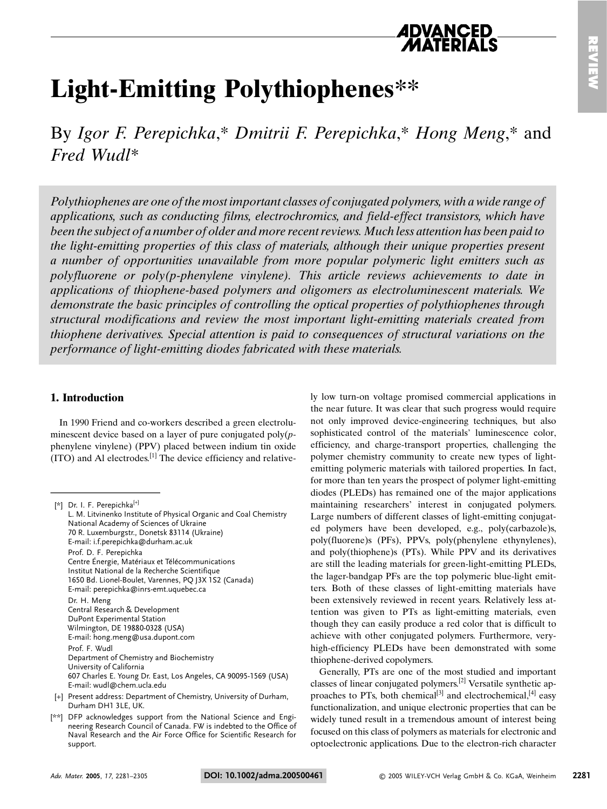# **Light-Emitting Polythiophenes\*\***

By Igor F. Perepichka,\* Dmitrii F. Perepichka,\* Hong Meng,\* and Fred Wudl<sup>\*</sup>

Polythiophenes are one of the most important classes of conjugated polymers, with a wide range of applications, such as conducting films, electrochromics, and field-effect transistors, which have been the subject of a number of older and more recent reviews. Much less attention has been paid to the light-emitting properties of this class of materials, although their unique properties present a number of opportunities unavailable from more popular polymeric light emitters such as polyfluorene or poly(p-phenylene vinylene). This article reviews achievements to date in applications of thiophene-based polymers and oligomers as electroluminescent materials. We demonstrate the basic principles of controlling the optical properties of polythiophenes through structural modifications and review the most important light-emitting materials created from thiophene derivatives. Special attention is paid to consequences of structural variations on the performance of light-emitting diodes fabricated with these materials.

### 1. Introduction

In 1990 Friend and co-workers described a green electroluminescent device based on a layer of pure conjugated  $poly(p$ phenylene vinylene) (PPV) placed between indium tin oxide  $(ITO)$  and Al electrodes.  $[1]$  The device efficiency and relative-

- [+] Present address: Department of Chemistry, University of Durham, Durham DH1 3LE, UK.
- [\*\*] DFP acknowledges support from the National Science and Engineering Research Council of Canada. FW is indebted to the Office of Naval Research and the Air Force Office for Scientific Research for support.

ly low turn-on voltage promised commercial applications in the near future. It was clear that such progress would require not only improved device-engineering techniques, but also sophisticated control of the materials' luminescence color, efficiency, and charge-transport properties, challenging the polymer chemistry community to create new types of lightemitting polymeric materials with tailored properties. In fact, for more than ten years the prospect of polymer light-emitting diodes (PLEDs) has remained one of the major applications maintaining researchers' interest in conjugated polymers. Large numbers of different classes of light-emitting conjugated polymers have been developed, e.g., poly(carbazole)s, poly(fluorene)s (PFs), PPVs, poly(phenylene ethynylenes), and poly(thiophene)s (PTs). While PPV and its derivatives are still the leading materials for green-light-emitting PLEDs, the lager-bandgap PFs are the top polymeric blue-light emitters. Both of these classes of light-emitting materials have been extensively reviewed in recent years. Relatively less attention was given to PTs as light-emitting materials, even though they can easily produce a red color that is difficult to achieve with other conjugated polymers. Furthermore, veryhigh-efficiency PLEDs have been demonstrated with some thiophene-derived copolymers.

Generally, PTs are one of the most studied and important classes of linear conjugated polymers.<sup>[2]</sup> Versatile synthetic approaches to PTs, both chemical<sup>[3]</sup> and electrochemical,<sup>[4]</sup> easy functionalization, and unique electronic properties that can be widely tuned result in a tremendous amount of interest being focused on this class of polymers as materials for electronic and optoelectronic applications. Due to the electron-rich character

<sup>[\*]</sup> Dr. I. F. Perepichka[+] L. M. Litvinenko Institute of Physical Organic and Coal Chemistry National Academy of Sciences of Ukraine 70 R. Luxemburgstr., Donetsk 83114 (Ukraine) E-mail: i.f.perepichka@durham.ac.uk Prof. D. F. Perepichka Centre Énergie, Matériaux et Télécommunications Institut National de la Recherche Scientifique 1650 Bd. Lionel-Boulet, Varennes, PQ J3X 1S2 (Canada) E-mail: perepichka@inrs-emt.uquebec.ca Dr. H. Meng Central Research & Development DuPont Experimental Station Wilmington, DE 19880-0328 (USA) E-mail: hong.meng@usa.dupont.com  $Pr\{F|V|$ Department of Chemistry and Biochemistry University of California 607 Charles E. Young Dr. East, Los Angeles, CA 90095-1569 (USA) E-mail: wudl@chem.ucla.edu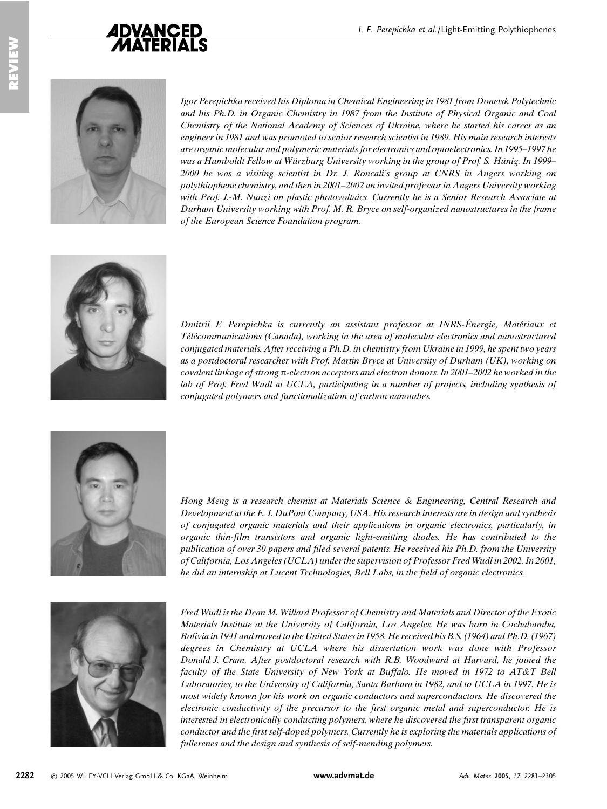



Igor Perepichka received his Diploma in Chemical Engineering in 1981 from Donetsk Polytechnic and his Ph.D. in Organic Chemistry in 1987 from the Institute of Physical Organic and Coal Chemistry of the National Academy of Sciences of Ukraine, where he started his career as an engineer in 1981 and was promoted to senior research scientist in 1989. His main research interests are organic molecular and polymeric materials for electronics and optoelectronics. In 1995–1997 he was a Humboldt Fellow at Würzburg University working in the group of Prof. S. Hünig. In 1999– 2000 he was a visiting scientist in Dr. J. Roncali's group at CNRS in Angers working on polythiophene chemistry, and then in 2001–2002 an invited professor in Angers University working with Prof. J.-M. Nunzi on plastic photovoltaics. Currently he is a Senior Research Associate at Durham University working with Prof. M. R. Bryce on self-organized nanostructures in the frame of the European Science Foundation program.



Dmitrii F. Perepichka is currently an assistant professor at INRS-Énergie, Matériaux et Télécommunications (Canada), working in the area of molecular electronics and nanostructured conjugated materials. After receiving a Ph.D. in chemistry from Ukraine in 1999, he spent two years as a postdoctoral researcher with Prof. Martin Bryce at University of Durham (UK), working on covalent linkage of strong  $\pi$ -electron acceptors and electron donors. In 2001-2002 he worked in the lab of Prof. Fred Wudl at UCLA, participating in a number of projects, including synthesis of conjugated polymers and functionalization of carbon nanotubes.



Hong Meng is a research chemist at Materials Science & Engineering, Central Research and Development at the E. I. DuPont Company, USA. His research interests are in design and synthesis of conjugated organic materials and their applications in organic electronics, particularly, in organic thin-film transistors and organic light-emitting diodes. He has contributed to the publication of over 30 papers and filed several patents. He received his Ph.D. from the University of California, Los Angeles (UCLA) under the supervision of Professor Fred Wudl in 2002. In 2001, he did an internship at Lucent Technologies, Bell Labs, in the field of organic electronics.



Fred Wudl is the Dean M. Willard Professor of Chemistry and Materials and Director of the Exotic Materials Institute at the University of California, Los Angeles. He was born in Cochabamba, Bolivia in 1941 and moved to the United States in 1958. He received his B.S. (1964) and Ph.D. (1967) degrees in Chemistry at UCLA where his dissertation work was done with Professor Donald J. Cram. After postdoctoral research with R.B. Woodward at Harvard, he joined the faculty of the State University of New York at Buffalo. He moved in 1972 to AT&T Bell Laboratories, to the University of California, Santa Barbara in 1982, and to UCLA in 1997. He is most widely known for his work on organic conductors and superconductors. He discovered the electronic conductivity of the precursor to the first organic metal and superconductor. He is interested in electronically conducting polymers, where he discovered the first transparent organic conductor and the first self-doped polymers. Currently he is exploring the materials applications of fullerenes and the design and synthesis of self-mending polymers.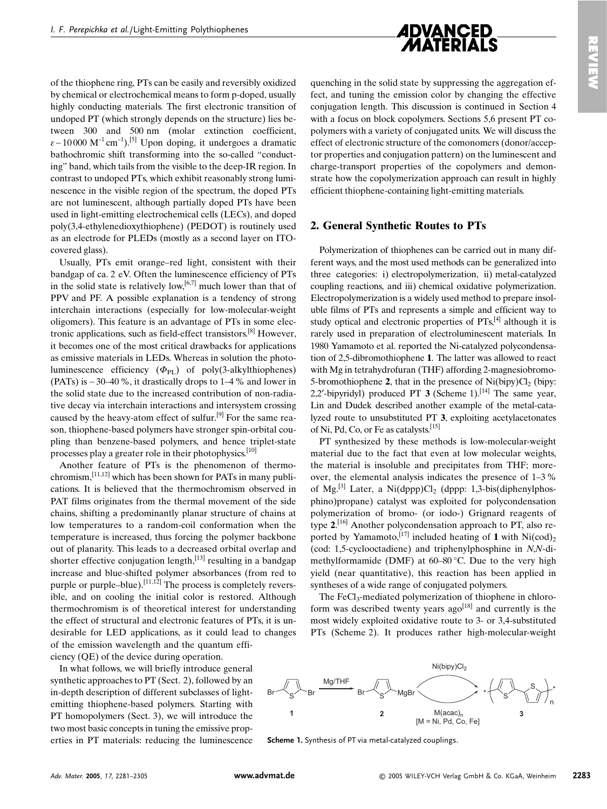

of the thiophene ring, PTs can be easily and reversibly oxidized by chemical or electrochemical means to form p-doped, usually highly conducting materials. The first electronic transition of undoped PT (which strongly depends on the structure) lies between 300 and 500 nm (molar extinction coefficient,  $\varepsilon \sim 10000 \text{ M}^{-1} \text{cm}^{-1}$ .<sup>[5]</sup> Upon doping, it undergoes a dramatic bathochromic shift transforming into the so-called "conducting" band, which tails from the visible to the deep-IR region. In contrast to undoped PTs, which exhibit reasonably strong luminescence in the visible region of the spectrum, the doped PTs are not luminescent, although partially doped PTs have been used in light-emitting electrochemical cells (LECs), and doped poly(3.4-ethylenedioxythiophene) (PEDOT) is routinely used as an electrode for PLEDs (mostly as a second layer on ITOcovered glass).

Usually, PTs emit orange-red light, consistent with their bandgap of ca. 2 eV. Often the luminescence efficiency of PTs in the solid state is relatively low,  $[6,7]$  much lower than that of PPV and PF. A possible explanation is a tendency of strong interchain interactions (especially for low-molecular-weight oligomers). This feature is an advantage of PTs in some electronic applications, such as field-effect transistors.<sup>[8]</sup> However, it becomes one of the most critical drawbacks for applications as emissive materials in LEDs. Whereas in solution the photoluminescence efficiency  $(\Phi_{PL})$  of poly(3-alkylthiophenes) (PATs) is  $\sim$  30–40 %, it drastically drops to 1–4 % and lower in the solid state due to the increased contribution of non-radiative decay via interchain interactions and intersystem crossing caused by the heavy-atom effect of sulfur.<sup>[9]</sup> For the same reason, thiophene-based polymers have stronger spin-orbital coupling than benzene-based polymers, and hence triplet-state processes play a greater role in their photophysics.<sup>[10]</sup>

Another feature of PTs is the phenomenon of thermochromism,  $[11,12]$  which has been shown for PATs in many publications. It is believed that the thermochromism observed in PAT films originates from the thermal movement of the side chains, shifting a predominantly planar structure of chains at low temperatures to a random-coil conformation when the temperature is increased, thus forcing the polymer backbone out of planarity. This leads to a decreased orbital overlap and shorter effective conjugation length,  $^{[13]}$  resulting in a bandgap increase and blue-shifted polymer absorbances (from red to purple or purple-blue).<sup>[11,12]</sup> The process is completely reversible, and on cooling the initial color is restored. Although thermochromism is of theoretical interest for understanding the effect of structural and electronic features of PTs, it is undesirable for LED applications, as it could lead to changes of the emission wavelength and the quantum efficiency (QE) of the device during operation.

In what follows, we will briefly introduce general synthetic approaches to PT (Sect. 2), followed by an in-depth description of different subclasses of lightemitting thiophene-based polymers. Starting with PT homopolymers (Sect. 3), we will introduce the two most basic concepts in tuning the emissive properties in PT materials: reducing the luminescence quenching in the solid state by suppressing the aggregation effect, and tuning the emission color by changing the effective conjugation length. This discussion is continued in Section 4 with a focus on block copolymers. Sections 5,6 present PT copolymers with a variety of conjugated units. We will discuss the effect of electronic structure of the comonomers (donor/acceptor properties and conjugation pattern) on the luminescent and charge-transport properties of the copolymers and demonstrate how the copolymerization approach can result in highly efficient thiophene-containing light-emitting materials.

#### 2. General Synthetic Routes to PTs

Polymerization of thiophenes can be carried out in many different ways, and the most used methods can be generalized into three categories: i) electropolymerization, ii) metal-catalyzed coupling reactions, and iii) chemical oxidative polymerization. Electropolymerization is a widely used method to prepare insoluble films of PTs and represents a simple and efficient way to study optical and electronic properties of PTs,<sup>[4]</sup> although it is rarely used in preparation of electroluminescent materials. In 1980 Yamamoto et al. reported the Ni-catalyzed polycondensation of 2,5-dibromothiophene 1. The latter was allowed to react with Mg in tetrahydrofuran (THF) affording 2-magnesiobromo-5-bromothiophene 2, that in the presence of  $Ni(bipy)Cl<sub>2</sub>$  (bipy: 2,2'-bipyridyl) produced PT 3 (Scheme 1).<sup>[14]</sup> The same vear, Lin and Dudek described another example of the metal-catalyzed route to unsubstituted PT 3, exploiting acetylacetonates of Ni, Pd, Co, or Fe as catalysts.<sup>[15]</sup>

PT synthesized by these methods is low-molecular-weight material due to the fact that even at low molecular weights, the material is insoluble and precipitates from THF; moreover, the elemental analysis indicates the presence of  $1-3\%$ of Mg.<sup>[3]</sup> Later, a Ni(dppp)Cl<sub>2</sub> (dppp: 1,3-bis(diphenylphosphino)propane) catalyst was exploited for polycondensation polymerization of bromo- (or iodo-) Grignard reagents of type  $2$ .<sup>[16]</sup> Another polycondensation approach to PT, also reported by Yamamoto, [17] included heating of 1 with Ni(cod)<sub>2</sub> (cod: 1,5-cyclooctadiene) and triphenylphosphine in N,N-dimethylformamide (DMF) at 60–80 °C. Due to the very high yield (near quantitative), this reaction has been applied in syntheses of a wide range of conjugated polymers.

The FeCl<sub>3</sub>-mediated polymerization of thiophene in chloroform was described twenty years  $ago^{[18]}$  and currently is the most widely exploited oxidative route to 3- or 3,4-substituted PTs (Scheme 2). It produces rather high-molecular-weight



Scheme 1. Synthesis of PT via metal-catalyzed couplings.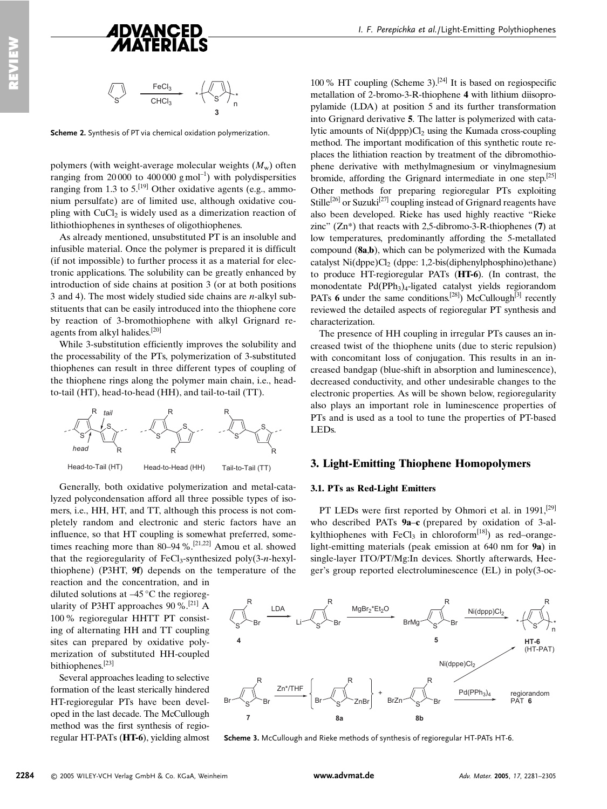



Scheme 2. Synthesis of PT via chemical oxidation polymerization.

polymers (with weight-average molecular weights  $(M_w)$  often ranging from 20000 to 400000 gmol<sup>-1</sup>) with polydispersities ranging from 1.3 to  $5$ .<sup>[19]</sup> Other oxidative agents (e.g., ammonium persulfate) are of limited use, although oxidative coupling with CuCl<sub>2</sub> is widely used as a dimerization reaction of lithiothiophenes in syntheses of oligothiophenes.

As already mentioned, unsubstituted PT is an insoluble and infusible material. Once the polymer is prepared it is difficult (if not impossible) to further process it as a material for electronic applications. The solubility can be greatly enhanced by introduction of side chains at position 3 (or at both positions 3 and 4). The most widely studied side chains are  $n$ -alkyl substituents that can be easily introduced into the thiophene core by reaction of 3-bromothiophene with alkyl Grignard reagents from alkyl halides.[20]

While 3-substitution efficiently improves the solubility and the processability of the PTs, polymerization of 3-substituted thiophenes can result in three different types of coupling of the thiophene rings along the polymer main chain, *i.e.*, headto-tail (HT), head-to-head (HH), and tail-to-tail (TT).



Generally, both oxidative polymerization and metal-catalyzed polycondensation afford all three possible types of isomers, i.e., HH, HT, and TT, although this process is not completely random and electronic and steric factors have an influence, so that HT coupling is somewhat preferred, sometimes reaching more than  $80-94$ %.<sup>[21,22]</sup> Amou et al. showed that the regioregularity of  $FeCl<sub>3</sub>$ -synthesized poly(3-n-hexylthiophene) (P3HT, 9f) depends on the temperature of the

reaction and the concentration, and in diluted solutions at  $-45^{\circ}$ C the regioregularity of P3HT approaches 90 %.<sup>[21]</sup> A 100 % regioregular HHTT PT consisting of alternating HH and TT coupling sites can prepared by oxidative polymerization of substituted HH-coupled bithiophenes.<sup>[23]</sup>

Several approaches leading to selective formation of the least sterically hindered HT-regioregular PTs have been developed in the last decade. The McCullough method was the first synthesis of regioregular HT-PATs (HT-6), yielding almost

100 % HT coupling (Scheme 3).<sup>[24]</sup> It is based on regiospecific metallation of 2-bromo-3-R-thiophene 4 with lithium diisopropylamide (LDA) at position 5 and its further transformation into Grignard derivative 5. The latter is polymerized with catalytic amounts of  $Ni(dppp)Cl<sub>2</sub>$  using the Kumada cross-coupling method. The important modification of this synthetic route replaces the lithiation reaction by treatment of the dibromothiophene derivative with methylmagnesium or vinylmagnesium bromide, affording the Grignard intermediate in one step.  $[25]$ Other methods for preparing regioregular PTs exploiting Stille<sup>[26]</sup> or Suzuki<sup>[27]</sup> coupling instead of Grignard reagents have also been developed. Rieke has used highly reactive "Rieke zinc"  $(Zn^*)$  that reacts with 2.5-dibromo-3-R-thiophenes (7) at low temperatures, predominantly affording the 5-metallated compound (8a,b), which can be polymerized with the Kumada catalyst  $\text{Ni(dppe)}\text{Cl}_2$  (dppe: 1,2-bis(diphenylphosphino)ethane) to produce HT-regioregular PATs (HT-6). (In contrast, the monodentate  $Pd(PPh_3)_4$ -ligated catalyst yields regiorandom PATs 6 under the same conditions.<sup>[28]</sup>) McCullough<sup>[3]</sup> recently reviewed the detailed aspects of regioregular PT synthesis and characterization.

The presence of HH coupling in irregular PTs causes an increased twist of the thiophene units (due to steric repulsion) with concomitant loss of conjugation. This results in an increased bandgap (blue-shift in absorption and luminescence), decreased conductivity, and other undesirable changes to the electronic properties. As will be shown below, regioregularity also plays an important role in luminescence properties of PTs and is used as a tool to tune the properties of PT-based LED<sub>s</sub>.

#### 3. Light-Emitting Thiophene Homopolymers

#### 3.1. PTs as Red-Light Emitters

PT LEDs were first reported by Ohmori et al. in 1991,<sup>[29]</sup> who described PATs  $9a-c$  (prepared by oxidation of 3-alkylthiophenes with FeCl<sub>3</sub> in chloroform<sup>[18]</sup>) as red-orangelight-emitting materials (peak emission at 640 nm for 9a) in single-layer ITO/PT/Mg:In devices. Shortly afterwards, Heeger's group reported electroluminescence (EL) in poly(3-oc-



Scheme 3. McCullough and Rieke methods of synthesis of regioregular HT-PATs HT-6.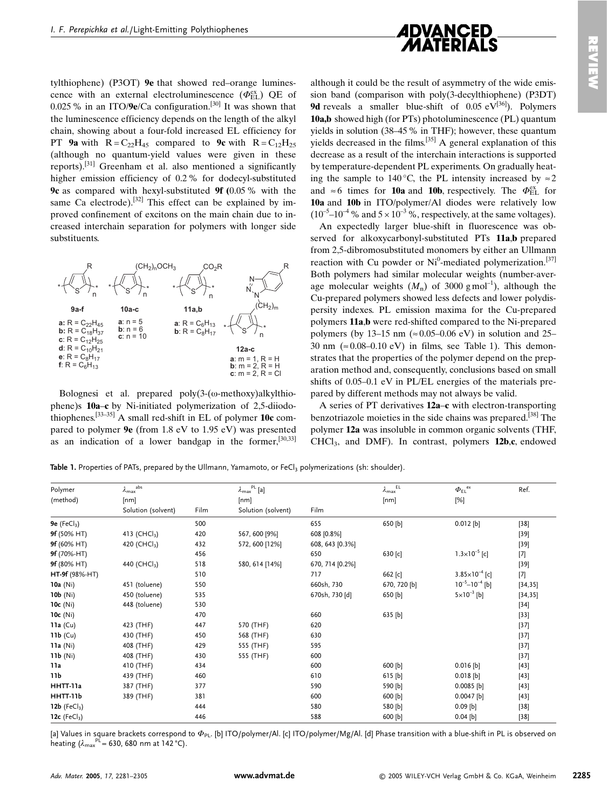tylthiophene) (P3OT) 9e that showed red-orange luminescence with an external electroluminescence  $(\Phi_{\text{FI}}^{\text{ex}})$  QE of 0.025 % in an ITO/9e/Ca configuration.<sup>[30]</sup> It was shown that the luminescence efficiency depends on the length of the alkyl chain, showing about a four-fold increased EL efficiency for PT 9a with  $R = C_{22}H_{45}$  compared to 9c with  $R = C_{12}H_{25}$ (although no quantum-yield values were given in these reports).<sup>[31]</sup> Greenham et al. also mentioned a significantly higher emission efficiency of 0.2 % for dodecyl-substituted **9c** as compared with hexyl-substituted **9f** (0.05  $\%$  with the same Ca electrode).<sup>[32]</sup> This effect can be explained by improved confinement of excitons on the main chain due to increased interchain separation for polymers with longer side substituents.



Bolognesi et al. prepared poly(3-(ω-methoxy)alkylthiophene)s 10a-c by Ni-initiated polymerization of 2,5-diiodothiophenes.  $[33-35]$  A small red-shift in EL of polymer 10c compared to polymer 9e (from 1.8 eV to 1.95 eV) was presented as an indication of a lower bandgap in the former, [30,33]

although it could be the result of asymmetry of the wide emission band (comparison with poly(3-decylthiophene) (P3DT) **9d** reveals a smaller blue-shift of 0.05  $eV^{[36]}$ ). Polymers 10a,b showed high (for PTs) photoluminescence (PL) quantum yields in solution (38–45  $\%$  in THF); however, these quantum vields decreased in the films.  $[35]$  A general explanation of this decrease as a result of the interchain interactions is supported by temperature-dependent PL experiments. On gradually heating the sample to 140 °C, the PL intensity increased by  $\approx$  2 and  $\approx$  6 times for **10a** and **10b**, respectively. The  $\Phi_{FL}^{ex}$  for 10a and 10b in ITO/polymer/Al diodes were relatively low  $(10^{-5} - 10^{-4})$ % and  $5 \times 10^{-3}$ %, respectively, at the same voltages).

An expectedly larger blue-shift in fluorescence was observed for alkoxycarbonyl-substituted PTs 11a,b prepared from 2,5-dibromosubstituted monomers by either an Ullmann reaction with Cu powder or Ni<sup>0</sup>-mediated polymerization.<sup>[37]</sup> Both polymers had similar molecular weights (number-average molecular weights  $(M_n)$  of 3000 gmol<sup>-1</sup>), although the Cu-prepared polymers showed less defects and lower polydispersity indexes. PL emission maxima for the Cu-prepared polymers 11a,b were red-shifted compared to the Ni-prepared polymers (by 13–15 nm ( $\approx 0.05$ –0.06 eV) in solution and 25– 30 nm ( $\approx 0.08 - 0.10$  eV) in films, see Table 1). This demonstrates that the properties of the polymer depend on the preparation method and, consequently, conclusions based on small shifts of 0.05–0.1 eV in PL/EL energies of the materials prepared by different methods may not always be valid.

A series of PT derivatives 12a-c with electron-transporting benzotriazole moieties in the side chains was prepared.<sup>[38]</sup> The polymer 12a was insoluble in common organic solvents (THF, CHCl<sub>3</sub>, and DMF). In contrast, polymers 12b,c, endowed

Table 1. Properties of PATs, prepared by the Ullmann, Yamamoto, or FeCl<sub>3</sub> polymerizations (sh: shoulder).

| Polymer                     | abs<br>$\lambda_{\text{max}}^{\text{a}}$ |      | $\lambda_{\max}^{\quad \text{PL}} \left[ \text{a} \right]$ |                 | EL.<br>$\lambda_{\text{max}}$ | $\varPhi_{\text{EL}}^{\text{ ex}}$ | Ref.     |
|-----------------------------|------------------------------------------|------|------------------------------------------------------------|-----------------|-------------------------------|------------------------------------|----------|
| (method)                    | [nm]                                     |      | [nm]                                                       |                 | [nm]                          | [%]                                |          |
|                             | Solution (solvent)                       | Film | Solution (solvent)                                         | Film            |                               |                                    |          |
| 9e ( $FeCl3$ )              |                                          | 500  |                                                            | 655             | 650 [b]                       | $0.012$ [b]                        | $[38]$   |
| 9f (50% HT)                 | 413 (CHCl <sub>3</sub> )                 | 420  | 567, 600 [9%]                                              | 608 [0.8%]      |                               |                                    | $[39]$   |
| 9f (60% HT)                 | 420 (CHCl <sub>3</sub> )                 | 432  | 572, 600 [12%]                                             | 608, 643 [0.3%] |                               |                                    | $[39]$   |
| 9f (70%-HT)                 |                                          | 456  |                                                            | 650             | 630 [c]                       | $1.3 \times 10^{-5}$ [c]           | $[7]$    |
| 9f (80% HT)                 | 440 (CHCl <sub>3</sub> )                 | 518  | 580, 614 [14%]                                             | 670, 714 [0.2%] |                               |                                    | $[39]$   |
| HT-9f (98%-HT)              |                                          | 510  |                                                            | 717             | 662 [c]                       | $3.85 \times 10^{-4}$ [c]          | $[7]$    |
| $10a$ (Ni)                  | 451 (toluene)                            | 550  |                                                            | 660sh, 730      | 670, 720 [b]                  | $10^{-5} - 10^{-4}$ [b]            | [34, 35] |
| $10b$ (Ni)                  | 450 (toluene)                            | 535  |                                                            | 670sh, 730 [d]  | 650 [b]                       | $5 \times 10^{-3}$ [b]             | [34, 35] |
| $10c$ (Ni)                  | 448 (toluene)                            | 530  |                                                            |                 |                               |                                    | $[34]$   |
| $10c$ (Ni)                  |                                          | 470  |                                                            | 660             | 635 [b]                       |                                    | $[33]$   |
| $11a$ (Cu)                  | 423 (THF)                                | 447  | 570 (THF)                                                  | 620             |                               |                                    | $[37]$   |
| $11b$ (Cu)                  | 430 (THF)                                | 450  | 568 (THF)                                                  | 630             |                               |                                    | $[37]$   |
| 11a(Ni)                     | 408 (THF)                                | 429  | 555 (THF)                                                  | 595             |                               |                                    | $[37]$   |
| 11b(Ni)                     | 408 (THF)                                | 430  | 555 (THF)                                                  | 600             |                               |                                    | $[37]$   |
| 11a                         | 410 (THF)                                | 434  |                                                            | 600             | 600 [b]                       | $0.016$ [b]                        | $[43]$   |
| 11 <sub>b</sub>             | 439 (THF)                                | 460  |                                                            | 610             | $615$ [b]                     | $0.018$ [b]                        | $[43]$   |
| HHTT-11a                    | 387 (THF)                                | 377  |                                                            | 590             | 590 [b]                       | $0.0085$ [b]                       | $[43]$   |
| HHTT-11b                    | 389 (THF)                                | 381  |                                                            | 600             | 600 [b]                       | $0.0047$ [b]                       | $[43]$   |
| 12b $(FeCl3)$               |                                          | 444  |                                                            | 580             | 580 [b]                       | $0.09$ [b]                         | $[38]$   |
| 12 $c$ (FeCl <sub>3</sub> ) |                                          | 446  |                                                            | 588             | 600 [b]                       | $0.04$ [b]                         | $[38]$   |

[a] Values in square brackets correspond to  $\Phi_{\text{PL}}$ . [b] ITO/polymer/Al. [c] ITO/polymer/Mg/Al. [d] Phase transition with a blue-shift in PL is observed on heating  $(\lambda_{\text{max}}^{p_1} = 630, 680 \text{ nm at } 142 \text{ °C}).$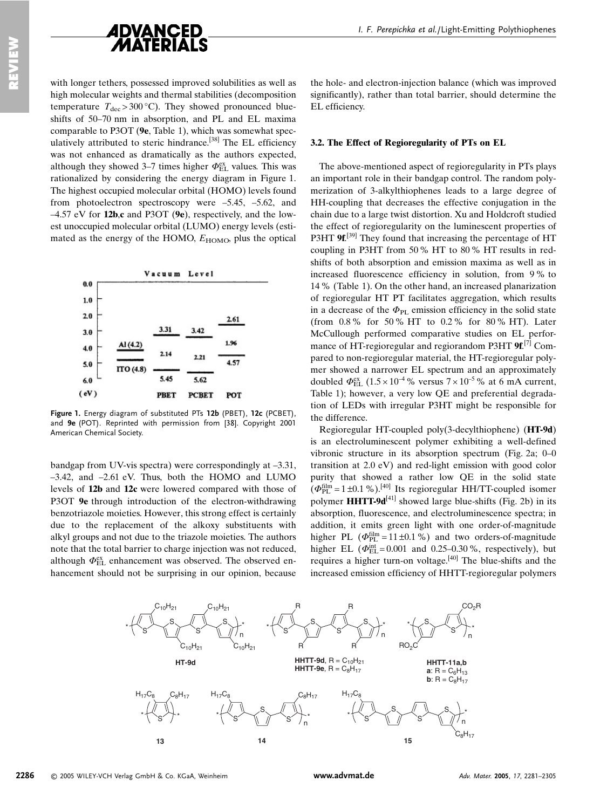

with longer tethers, possessed improved solubilities as well as high molecular weights and thermal stabilities (decomposition temperature  $T_{\text{dec}} > 300 \degree \text{C}$ ). They showed pronounced blueshifts of 50-70 nm in absorption, and PL and EL maxima comparable to P3OT (9e, Table 1), which was somewhat speculatively attributed to steric hindrance.<sup>[38]</sup> The EL efficiency was not enhanced as dramatically as the authors expected, although they showed 3–7 times higher  $\Phi_{\rm EI}^{\rm ex}$  values. This was rationalized by considering the energy diagram in Figure 1. The highest occupied molecular orbital (HOMO) levels found from photoelectron spectroscopy were  $-5.45$ ,  $-5.62$ , and  $-4.57$  eV for 12b.c and P3OT (9e), respectively, and the lowest unoccupied molecular orbital (LUMO) energy levels (estimated as the energy of the HOMO,  $E_{HOMO}$ , plus the optical



Figure 1. Energy diagram of substituted PTs 12b (PBET), 12c (PCBET) and 9e (POT). Reprinted with permission from [38]. Copyright 2001 American Chemical Society.

bandgap from UV-vis spectra) were correspondingly at  $-3.31$ ,  $-3.42$ , and  $-2.61$  eV. Thus, both the HOMO and LUMO levels of 12b and 12c were lowered compared with those of P3OT 9e through introduction of the electron-withdrawing benzotriazole moieties. However, this strong effect is certainly due to the replacement of the alkoxy substituents with alkyl groups and not due to the triazole moieties. The authors note that the total barrier to charge injection was not reduced, although  $\Phi_{FL}^{\text{ex}}$  enhancement was observed. The observed enhancement should not be surprising in our opinion, because

the hole- and electron-injection balance (which was improved significantly), rather than total barrier, should determine the EL efficiency.

#### 3.2. The Effect of Regioregularity of PTs on EL

The above-mentioned aspect of regioregularity in PTs plays an important role in their bandgap control. The random polymerization of 3-alkylthiophenes leads to a large degree of HH-coupling that decreases the effective conjugation in the chain due to a large twist distortion. Xu and Holdcroft studied the effect of regioregularity on the luminescent properties of P3HT 9f.<sup>[39]</sup> They found that increasing the percentage of HT coupling in P3HT from 50% HT to 80% HT results in redshifts of both absorption and emission maxima as well as in increased fluorescence efficiency in solution, from 9% to 14 % (Table 1). On the other hand, an increased planarization of regioregular HT PT facilitates aggregation, which results in a decrease of the  $\Phi_{\text{PL}}$  emission efficiency in the solid state (from 0.8% for 50% HT to 0.2% for 80% HT). Later McCullough performed comparative studies on EL performance of HT-regioregular and regiorandom P3HT  $9f<sup>[7]</sup>$  Compared to non-regioregular material, the HT-regioregular polymer showed a narrower EL spectrum and an approximately doubled  $\Phi_{\text{EL}}^{\text{ex}}$  (1.5 × 10<sup>-4</sup> % versus 7 × 10<sup>-5</sup> % at 6 mA current, Table 1); however, a very low QE and preferential degradation of LEDs with irregular P3HT might be responsible for the difference.

Regioregular HT-coupled poly(3-decylthiophene) (HT-9d) is an electroluminescent polymer exhibiting a well-defined vibronic structure in its absorption spectrum (Fig. 2a; 0–0 transition at 2.0 eV) and red-light emission with good color purity that showed a rather low OE in the solid state  $(\Phi_{\rm PL}^{\rm film} = 1 \pm 0.1 \%)$ . [40] Its regioregular HH/TT-coupled isomer polymer **HHTT-9d**<sup>[41]</sup> showed large blue-shifts (Fig. 2b) in its absorption, fluorescence, and electroluminescence spectra; in addition, it emits green light with one order-of-magnitude higher PL ( $\Phi_{\text{PL}}^{\text{film}} = 11 \pm 0.1$ %) and two orders-of-magnitude higher EL ( $\Phi_{EL}^{int}$ = 0.001 and 0.25–0.30%, respectively), but requires a higher turn-on voltage.<sup>[40]</sup> The blue-shifts and the increased emission efficiency of HHTT-regioregular polymers



www.advmat.de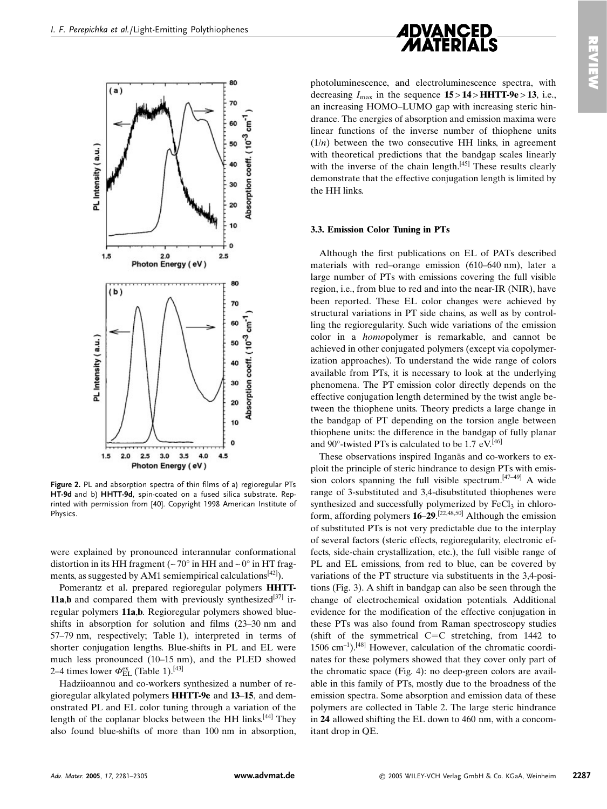



Figure 2. PL and absorption spectra of thin films of a) regioregular PTs HT-9d and b) HHTT-9d, spin-coated on a fused silica substrate. Reprinted with permission from [40]. Copyright 1998 American Institute of Physics.

were explained by pronounced interannular conformational distortion in its HH fragment  $({\sim}70^{\circ}$  in HH and  ${\sim}0^{\circ}$  in HT fragments, as suggested by AM1 semiempirical calculations  $\frac{42}{1}$ ).

Pomerantz et al. prepared regioregular polymers **HHTT-11a,b** and compared them with previously synthesized<sup>[37]</sup> irregular polymers 11a.b. Regioregular polymers showed blueshifts in absorption for solution and films (23–30 nm and 57–79 nm, respectively; Table 1), interpreted in terms of shorter conjugation lengths. Blue-shifts in PL and EL were much less pronounced (10-15 nm), and the PLED showed 2–4 times lower  $\Phi_{\text{EL}}^{\text{ex}}$  (Table 1).<sup>[43]</sup>

Hadziioannou and co-workers synthesized a number of regioregular alkylated polymers **HHTT-9e** and 13–15, and demonstrated PL and EL color tuning through a variation of the length of the coplanar blocks between the HH links.<sup>[44]</sup> They also found blue-shifts of more than 100 nm in absorption.

photoluminescence, and electroluminescence spectra, with decreasing  $I_{\text{max}}$  in the sequence  $15 > 14 > HHTT-9e > 13$ , i.e., an increasing HOMO-LUMO gap with increasing steric hindrance. The energies of absorption and emission maxima were linear functions of the inverse number of thiophene units  $(1/n)$  between the two consecutive HH links, in agreement with theoretical predictions that the bandgap scales linearly with the inverse of the chain length.<sup>[45]</sup> These results clearly demonstrate that the effective conjugation length is limited by the HH links.

#### 3.3. Emission Color Tuning in PTs

Although the first publications on EL of PATs described materials with red-orange emission (610–640 nm), later a large number of PTs with emissions covering the full visible region, i.e., from blue to red and into the near-IR (NIR), have been reported. These EL color changes were achieved by structural variations in PT side chains, as well as by controlling the regioregularity. Such wide variations of the emission color in a *homopolymer* is remarkable, and cannot be achieved in other conjugated polymers (except via copolymerization approaches). To understand the wide range of colors available from PTs, it is necessary to look at the underlying phenomena. The PT emission color directly depends on the effective conjugation length determined by the twist angle between the thiophene units. Theory predicts a large change in the bandgap of PT depending on the torsion angle between thiophene units: the difference in the bandgap of fully planar and 90 $^{\circ}$ -twisted PTs is calculated to be 1.7 eV.<sup>[46]</sup>

These observations inspired Inganäs and co-workers to exploit the principle of steric hindrance to design PTs with emission colors spanning the full visible spectrum.<sup>[47-49]</sup> A wide range of 3-substituted and 3,4-disubstituted thiophenes were synthesized and successfully polymerized by FeCl<sub>3</sub> in chloroform, affording polymers  $16-29$ .<sup>[22,48,50]</sup> Although the emission of substituted PTs is not very predictable due to the interplay of several factors (steric effects, regioregularity, electronic effects, side-chain crystallization, etc.), the full visible range of PL and EL emissions, from red to blue, can be covered by variations of the PT structure via substituents in the 3.4-positions (Fig. 3). A shift in bandgap can also be seen through the change of electrochemical oxidation potentials. Additional evidence for the modification of the effective conjugation in these PTs was also found from Raman spectroscopy studies (shift of the symmetrical C=C stretching, from  $1442$  to  $1506$  cm<sup>-1</sup>).<sup>[48]</sup> However, calculation of the chromatic coordinates for these polymers showed that they cover only part of the chromatic space (Fig. 4): no deep-green colors are available in this family of PTs, mostly due to the broadness of the emission spectra. Some absorption and emission data of these polymers are collected in Table 2. The large steric hindrance in 24 allowed shifting the EL down to 460 nm, with a concomitant drop in OE.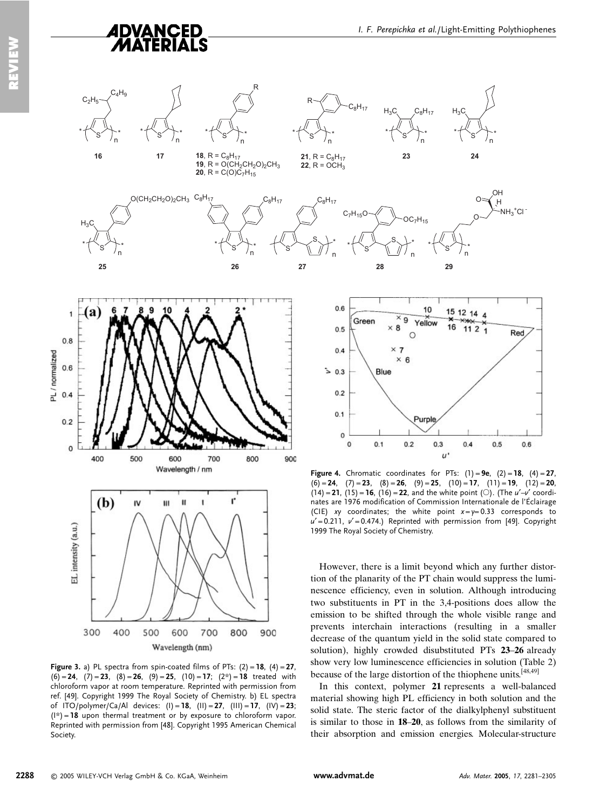

 $\overline{24}$ 

OН

 $\overline{H}$  $-MH<sub>2</sub>$ <sup>+</sup>Cl

 $C_8H_{17}$ 

 $H_2C$ 

23

 $OC<sub>7</sub>H<sub>15</sub>$ 

**21**,  $R = C_8H_{17}$ 

22,  $R = OCH_3$ 

 $27$ 

 $C_7H_{15}O$ 

28



29

**Figure 4.** Chromatic coordinates for PTs:  $(1) = 9e$ ,  $(2) = 18$ ,  $(4) = 27$ ,  $(6) = 24$ ,  $(7) = 23$ ,  $(8) = 26$ ,  $(9) = 25$ ,  $(10) = 17$ ,  $(11) = 19$ ,  $(12) = 20$ ,  $(14) = 21$ ,  $(15) = 16$ ,  $(16) = 22$ , and the white point (O). (The  $u'$ -v' coordinates are 1976 modification of Commission Internationale de l'Éclairage (CIE) xy coordinates; the white point  $x=y=0.33$  corresponds to  $u' = 0.211$ ,  $v' = 0.474$ .) Reprinted with permission from [49]. Copyright 1999 The Royal Society of Chemistry.

However, there is a limit beyond which any further distortion of the planarity of the PT chain would suppress the luminescence efficiency, even in solution. Although introducing two substituents in PT in the 3,4-positions does allow the emission to be shifted through the whole visible range and prevents interchain interactions (resulting in a smaller decrease of the quantum yield in the solid state compared to solution), highly crowded disubstituted PTs 23-26 already show very low luminescence efficiencies in solution (Table 2) because of the large distortion of the thiophene units.<sup>[48,49]</sup>

In this context, polymer 21 represents a well-balanced material showing high PL efficiency in both solution and the solid state. The steric factor of the dialkylphenyl substituent is similar to those in 18–20, as follows from the similarity of their absorption and emission energies. Molecular-structure

 $0.8$ PL/normalized  $0.6$  $0.4$  $0.2$  $\mathbf 0$ 400 500 600 800 900 700 Wavelength / nm  $(b)$  $\mathbf{u}$ Ľ  $\mathbf{N}$ ш intensity (a.u.)  $\vec{r}$ 400 700 300 500 600 800 900 Wavelength (nm)

Figure 3. a) PL spectra from spin-coated films of PTs:  $(2) = 18$ ,  $(4) = 27$ ,  $(6) = 24$ ,  $(7) = 23$ ,  $(8) = 26$ ,  $(9) = 25$ ,  $(10) = 17$ ;  $(2^*) = 18$  treated with chloroform vapor at room temperature. Reprinted with permission from ref. [49]. Copyright 1999 The Royal Society of Chemistry. b) EL spectra of ITO/polymer/Ca/Al devices: (I) = 18, (II) = 27, (III) = 17, (IV) = 23;  $(1*)$  = 18 upon thermal treatment or by exposure to chloroform vapor. Reprinted with permission from [48]. Copyright 1995 American Chemical Society.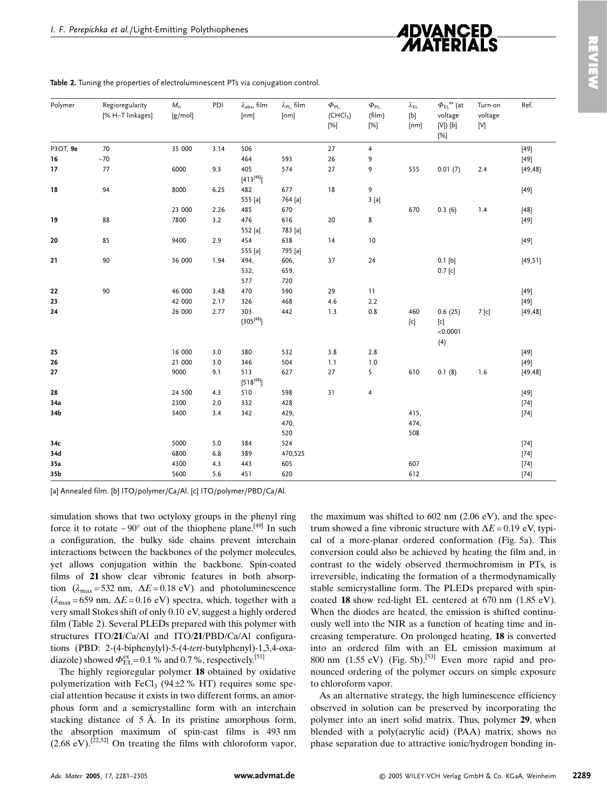

| Polymer  | Regioregularity<br>[% H-T linkages] | $M_n$<br>[g/mol] | PDI     | $\lambda_{\rm abs}$ , film<br>[nm] | $\lambda_{PL}$ film<br>[nm] | $\Phi_{PL}$<br>(CHCl <sub>3</sub> )<br>[%] | $\Phi_{\rm PL}$<br>(film)<br>[%] | $\lambda_{\sf EL}$<br>$[b] % \begin{center} % \includegraphics[width=\linewidth]{imagesSupplemental_3.png} % \end{center} % \caption { % Our method can be used for the use of the image. % } % \label{fig:example} %$<br>[nm]                                                                                                                                                                                                                                                                                                                     | $\Phi_{\texttt{EL}}^{\texttt{ex}}$ (at<br>voltage<br>$[V]$ ) $[b]$<br>[%]                                                                                                                                                                                                                                                                                                                                                                                                                                                                                                                                                    | Turn-on<br>voltage<br>[V] | Ref.     |
|----------|-------------------------------------|------------------|---------|------------------------------------|-----------------------------|--------------------------------------------|----------------------------------|----------------------------------------------------------------------------------------------------------------------------------------------------------------------------------------------------------------------------------------------------------------------------------------------------------------------------------------------------------------------------------------------------------------------------------------------------------------------------------------------------------------------------------------------------|------------------------------------------------------------------------------------------------------------------------------------------------------------------------------------------------------------------------------------------------------------------------------------------------------------------------------------------------------------------------------------------------------------------------------------------------------------------------------------------------------------------------------------------------------------------------------------------------------------------------------|---------------------------|----------|
| P3OT, 9e | 70                                  | 35 000           | 3.14    | 506                                |                             | 27                                         | $\pmb{4}$                        |                                                                                                                                                                                                                                                                                                                                                                                                                                                                                                                                                    |                                                                                                                                                                                                                                                                                                                                                                                                                                                                                                                                                                                                                              |                           | $[49]$   |
| 16       | $\sim$ 70                           |                  |         | 464                                | 593                         | 26                                         | 9                                |                                                                                                                                                                                                                                                                                                                                                                                                                                                                                                                                                    |                                                                                                                                                                                                                                                                                                                                                                                                                                                                                                                                                                                                                              |                           | $[49]$   |
| 17       | 77                                  | 6000             | 9.3     | 405<br>$[413^{[48]}]$              | 574                         | 27                                         | 9                                | 555                                                                                                                                                                                                                                                                                                                                                                                                                                                                                                                                                | 0.01(7)                                                                                                                                                                                                                                                                                                                                                                                                                                                                                                                                                                                                                      | 2.4                       | [49, 48] |
| 18       | 94                                  | 8000             | 6.25    | 482                                | 677                         | $18\,$                                     | 9                                |                                                                                                                                                                                                                                                                                                                                                                                                                                                                                                                                                    |                                                                                                                                                                                                                                                                                                                                                                                                                                                                                                                                                                                                                              |                           | $[49]$   |
|          |                                     |                  |         | 555 [a]                            | 764 [a]                     |                                            | 3[a]                             |                                                                                                                                                                                                                                                                                                                                                                                                                                                                                                                                                    |                                                                                                                                                                                                                                                                                                                                                                                                                                                                                                                                                                                                                              |                           |          |
|          |                                     | 23 000           | 2.26    | 485                                | 670                         |                                            |                                  | 670                                                                                                                                                                                                                                                                                                                                                                                                                                                                                                                                                | 0.3(6)                                                                                                                                                                                                                                                                                                                                                                                                                                                                                                                                                                                                                       | 1.4                       | $[48]$   |
| 19       | 88                                  | 7800             | 3.2     | 476                                | 616                         | 20                                         | 8                                |                                                                                                                                                                                                                                                                                                                                                                                                                                                                                                                                                    |                                                                                                                                                                                                                                                                                                                                                                                                                                                                                                                                                                                                                              |                           | $[49]$   |
|          |                                     |                  |         | 552 [a]                            | 783 [a]                     |                                            |                                  |                                                                                                                                                                                                                                                                                                                                                                                                                                                                                                                                                    |                                                                                                                                                                                                                                                                                                                                                                                                                                                                                                                                                                                                                              |                           |          |
| 20       | 85                                  | 9400             | 2.9     | 454                                | 638                         | 14                                         | $10$                             |                                                                                                                                                                                                                                                                                                                                                                                                                                                                                                                                                    |                                                                                                                                                                                                                                                                                                                                                                                                                                                                                                                                                                                                                              |                           | $[49]$   |
|          |                                     |                  |         | 555 [a]                            | 795 [a]                     |                                            |                                  |                                                                                                                                                                                                                                                                                                                                                                                                                                                                                                                                                    |                                                                                                                                                                                                                                                                                                                                                                                                                                                                                                                                                                                                                              |                           |          |
| 21       | 90                                  | 36 000           | 1.94    | 494,                               | 606,                        | 37                                         | 24                               |                                                                                                                                                                                                                                                                                                                                                                                                                                                                                                                                                    | 0.1 [b]                                                                                                                                                                                                                                                                                                                                                                                                                                                                                                                                                                                                                      |                           | [49, 51] |
|          |                                     |                  |         | 532,                               | 659,                        |                                            |                                  |                                                                                                                                                                                                                                                                                                                                                                                                                                                                                                                                                    | 0.7 [c]                                                                                                                                                                                                                                                                                                                                                                                                                                                                                                                                                                                                                      |                           |          |
|          |                                     |                  |         | 577                                | 720                         |                                            |                                  |                                                                                                                                                                                                                                                                                                                                                                                                                                                                                                                                                    |                                                                                                                                                                                                                                                                                                                                                                                                                                                                                                                                                                                                                              |                           |          |
| 22       | 90                                  | 46 000           | 3.48    | 470                                | 590                         | 29                                         | 11                               |                                                                                                                                                                                                                                                                                                                                                                                                                                                                                                                                                    |                                                                                                                                                                                                                                                                                                                                                                                                                                                                                                                                                                                                                              |                           | $[49]$   |
| 23       |                                     | 42 000           | 2.17    | 326                                | 468                         | 4.6                                        | 2.2                              |                                                                                                                                                                                                                                                                                                                                                                                                                                                                                                                                                    |                                                                                                                                                                                                                                                                                                                                                                                                                                                                                                                                                                                                                              |                           | $[49]$   |
| 24       |                                     | 26 000           | 2.77    | 303<br>$[305^{[48]}]$              | 442                         | 1.3                                        | $0.8\,$                          | 460<br>$\left[ \mathsf{c}\right] % &=& {\displaystyle\sum_{\alpha\in S_{n}}}\left[ \mathsf{c}\right] ^{\alpha\alpha} \left[ \mathsf{c}\right] ^{\alpha\beta} \left[ \mathsf{c}\right] ^{\alpha\beta} \left[ \mathsf{c}\right] ^{\alpha\beta} \left[ \mathsf{c}\right] ^{\alpha\beta} \left[ \mathsf{c}\right] ^{\alpha\beta} \left[ \mathsf{c}\right] ^{\alpha\beta} \left[ \mathsf{c}\right] ^{\alpha\beta} \left[ \mathsf{c}\right] ^{\alpha\beta} \left[ \mathsf{c}\right] ^{\alpha\beta} \left[ \mathsf{c}\right] ^{\alpha\beta} \left[ \math$ | 0.6(25)<br>$[c] % \begin{center} % \includegraphics[width=\linewidth]{imagesSupplemental_3.png} % \end{center} % \caption { % \textit{DefNet} of \textit{DefNet} and \textit{DefNet} and \textit{DefNet} and \textit{DefNet} and \textit{DefNet} and \textit{DefNet} and \textit{DefNet} and \textit{DefNet} and \textit{DefNet} and \textit{DefNet} and \textit{DefNet} and \textit{DefNet} and \textit{DefNet} and \textit{DefNet} and \textit{DefNet} and \textit{DefNet} and \textit{DefNet} and \textit{DefNet} and \textit{DefNet} and \textit{DefNet} and \textit{DefNet} and \textit{DefNet} and$<br>< 0.0001<br>(4) | $7$ [c]                   | [49, 48] |
| 25       |                                     | 16 000           | 3.0     | 380                                | 532                         | 3.8                                        | 2.8                              |                                                                                                                                                                                                                                                                                                                                                                                                                                                                                                                                                    |                                                                                                                                                                                                                                                                                                                                                                                                                                                                                                                                                                                                                              |                           | $[49]$   |
| 26       |                                     | 21 000           | 3.0     | 346                                | 504                         | 1.1                                        | 1.0                              |                                                                                                                                                                                                                                                                                                                                                                                                                                                                                                                                                    |                                                                                                                                                                                                                                                                                                                                                                                                                                                                                                                                                                                                                              |                           | $[49]$   |
| 27       |                                     | 9000             | 9.1     | 513<br>$[518^{[48]}]$              | 627                         | 27                                         | 5                                | 610                                                                                                                                                                                                                                                                                                                                                                                                                                                                                                                                                | 0.1(8)                                                                                                                                                                                                                                                                                                                                                                                                                                                                                                                                                                                                                       | 1.6                       | [49, 48] |
| 28       |                                     | 24 500           | 4.3     | 510                                | 598                         | 31                                         | $\overline{\mathbf{4}}$          |                                                                                                                                                                                                                                                                                                                                                                                                                                                                                                                                                    |                                                                                                                                                                                                                                                                                                                                                                                                                                                                                                                                                                                                                              |                           | $[49]$   |
| 34a      |                                     | 2300             | 2.0     | 332                                | 428                         |                                            |                                  |                                                                                                                                                                                                                                                                                                                                                                                                                                                                                                                                                    |                                                                                                                                                                                                                                                                                                                                                                                                                                                                                                                                                                                                                              |                           | $[74]$   |
| 34b      |                                     | 3400             | 3.4     | 342                                | 429,                        |                                            |                                  | 415,                                                                                                                                                                                                                                                                                                                                                                                                                                                                                                                                               |                                                                                                                                                                                                                                                                                                                                                                                                                                                                                                                                                                                                                              |                           | $[74]$   |
|          |                                     |                  |         |                                    | 470,                        |                                            |                                  | 474,                                                                                                                                                                                                                                                                                                                                                                                                                                                                                                                                               |                                                                                                                                                                                                                                                                                                                                                                                                                                                                                                                                                                                                                              |                           |          |
|          |                                     |                  |         |                                    | 520                         |                                            |                                  | 508                                                                                                                                                                                                                                                                                                                                                                                                                                                                                                                                                |                                                                                                                                                                                                                                                                                                                                                                                                                                                                                                                                                                                                                              |                           |          |
| 34c      |                                     | 5000             | $5.0\,$ | 384                                | 524                         |                                            |                                  |                                                                                                                                                                                                                                                                                                                                                                                                                                                                                                                                                    |                                                                                                                                                                                                                                                                                                                                                                                                                                                                                                                                                                                                                              |                           | $[74]$   |
| 34d      |                                     | 6800             | $6.8\,$ | 389                                | 470,525                     |                                            |                                  |                                                                                                                                                                                                                                                                                                                                                                                                                                                                                                                                                    |                                                                                                                                                                                                                                                                                                                                                                                                                                                                                                                                                                                                                              |                           | $[74]$   |
| 35a      |                                     | 4300             | 4.3     | 443                                | 605                         |                                            |                                  | 607                                                                                                                                                                                                                                                                                                                                                                                                                                                                                                                                                |                                                                                                                                                                                                                                                                                                                                                                                                                                                                                                                                                                                                                              |                           | $[74]$   |
| 35b      |                                     | 5600             | 5.6     | 451                                | 620                         |                                            |                                  | 612                                                                                                                                                                                                                                                                                                                                                                                                                                                                                                                                                |                                                                                                                                                                                                                                                                                                                                                                                                                                                                                                                                                                                                                              |                           | $[74]$   |

Table 2. Tuning the properties of electroluminescent PTs via conjugation control.

[a] Annealed film. [b] ITO/polymer/Ca/Al. [c] ITO/polymer/PBD/Ca/Al.

simulation shows that two octyloxy groups in the phenyl ring force it to rotate  $\sim 90^{\circ}$  out of the thiophene plane.<sup>[49]</sup> In such a configuration, the bulky side chains prevent interchain interactions between the backbones of the polymer molecules, yet allows conjugation within the backbone. Spin-coated films of 21 show clear vibronic features in both absorption  $(\lambda_{\text{max}} = 532 \text{ nm}, \Delta E = 0.18 \text{ eV})$  and photoluminescence  $(\lambda_{\text{max}} = 659 \text{ nm}, \Delta E = 0.16 \text{ eV})$  spectra, which, together with a very small Stokes shift of only 0.10 eV, suggest a highly ordered film (Table 2). Several PLEDs prepared with this polymer with structures ITO/21/Ca/Al and ITO/21/PBD/Ca/Al configurations (PBD: 2-(4-biphenylyl)-5-(4-tert-butylphenyl)-1,3,4-oxadiazole) showed  $\Phi_{\text{EL}}^{\text{ex}} = 0.1$  % and 0.7 %, respectively.<sup>[51]</sup>

The highly regioregular polymer 18 obtained by oxidative polymerization with FeCl<sub>3</sub> (94 $\pm$ 2 % HT) requires some special attention because it exists in two different forms, an amorphous form and a semicrystalline form with an interchain stacking distance of  $5 \text{ Å}$ . In its pristine amorphous form, the absorption maximum of spin-cast films is 493 nm  $(2.68 \text{ eV})$ .  $[22,52]$  On treating the films with chloroform vapor,

the maximum was shifted to  $602$  nm  $(2.06 \text{ eV})$ , and the spectrum showed a fine vibronic structure with  $\Delta E = 0.19$  eV, typical of a more-planar ordered conformation (Fig. 5a). This conversion could also be achieved by heating the film and, in contrast to the widely observed thermochromism in PTs, is irreversible, indicating the formation of a thermodynamically stable semicrystalline form. The PLEDs prepared with spincoated 18 show red-light EL centered at 670 nm (1.85 eV). When the diodes are heated, the emission is shifted continuously well into the NIR as a function of heating time and increasing temperature. On prolonged heating, 18 is converted into an ordered film with an EL emission maximum at 800 nm  $(1.55 \text{ eV})$  (Fig. 5b).<sup>[53]</sup> Even more rapid and pronounced ordering of the polymer occurs on simple exposure to chloroform vapor.

As an alternative strategy, the high luminescence efficiency observed in solution can be preserved by incorporating the polymer into an inert solid matrix. Thus, polymer 29, when blended with a poly(acrylic acid) (PAA) matrix, shows no phase separation due to attractive ionic/hydrogen bonding in-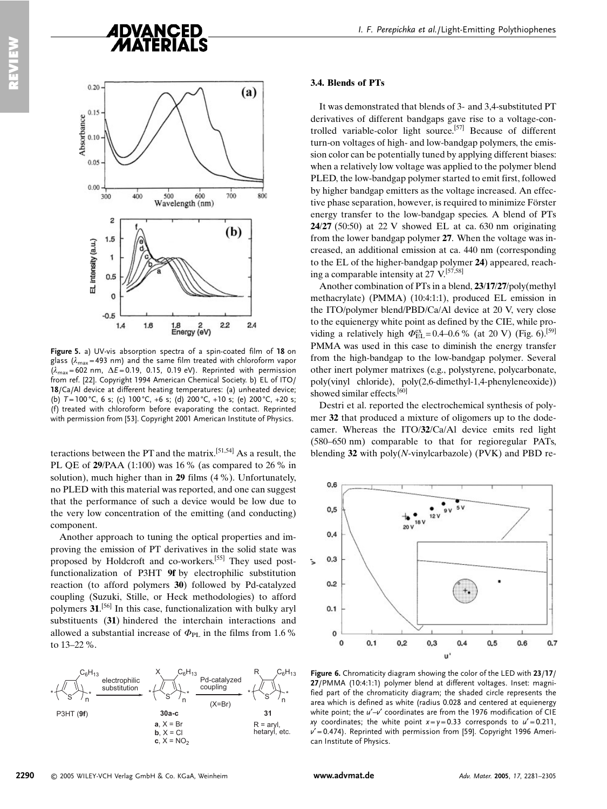

Figure 5. a) UV-vis absorption spectra of a spin-coated film of 18 on glass ( $\lambda_{\text{max}}$ =493 nm) and the same film treated with chloroform vapor  $(\lambda_{\text{max}} = 602 \text{ nm}, \Delta E = 0.19, 0.15, 0.19 \text{ eV})$ . Reprinted with permission from ref. [22]. Copyright 1994 American Chemical Society. b) EL of ITO/ 18/Ca/Al device at different heating temperatures: (a) unheated device; (b)  $T = 100 \degree C$ , 6 s; (c)  $100 \degree C$ , +6 s; (d)  $200 \degree C$ , +10 s; (e)  $200 \degree C$ , +20 s; (f) treated with chloroform before evaporating the contact. Reprinted with permission from [53]. Copyright 2001 American Institute of Physics.

teractions between the PT and the matrix.<sup>[51,54]</sup> As a result. the PL QE of  $29/PAA$  (1:100) was 16 % (as compared to 26 % in solution), much higher than in 29 films (4 %). Unfortunately, no PLED with this material was reported, and one can suggest that the performance of such a device would be low due to the very low concentration of the emitting (and conducting) component.

Another approach to tuning the optical properties and improving the emission of PT derivatives in the solid state was proposed by Holdcroft and co-workers.<sup>[55]</sup> They used postfunctionalization of P3HT 9f by electrophilic substitution reaction (to afford polymers 30) followed by Pd-catalyzed coupling (Suzuki, Stille, or Heck methodologies) to afford polymers 31.<sup>[56]</sup> In this case, functionalization with bulky aryl substituents (31) hindered the interchain interactions and allowed a substantial increase of  $\Phi_{\text{PL}}$  in the films from 1.6 % to  $13 - 22\%$ .



#### 3.4. Blends of PTs

It was demonstrated that blends of 3- and 3,4-substituted PT derivatives of different bandgaps gave rise to a voltage-controlled variable-color light source.<sup>[57]</sup> Because of different turn-on voltages of high- and low-bandgap polymers, the emission color can be potentially tuned by applying different biases: when a relatively low voltage was applied to the polymer blend PLED, the low-bandgap polymer started to emit first, followed by higher bandgap emitters as the voltage increased. An effective phase separation, however, is required to minimize Förster energy transfer to the low-bandgap species. A blend of PTs  $24/27$  (50:50) at 22 V showed EL at ca. 630 nm originating from the lower bandgap polymer 27. When the voltage was increased, an additional emission at ca. 440 nm (corresponding to the EL of the higher-bandgap polymer 24) appeared, reaching a comparable intensity at 27  $V$ <sup>[57,58]</sup>

Another combination of PTs in a blend, 23/17/27/poly(methyl) methacrylate) (PMMA) (10:4:1:1), produced EL emission in the ITO/polymer blend/PBD/Ca/Al device at 20 V, very close to the equienergy white point as defined by the CIE, while providing a relatively high  $\Phi_{\text{EL}}^{\text{ex}} = 0.4{\text{--}}0.6\%$  (at 20 V) (Fig. 6).<sup>[59]</sup> PMMA was used in this case to diminish the energy transfer from the high-bandgap to the low-bandgap polymer. Several other inert polymer matrixes (e.g., polystyrene, polycarbonate, poly(vinyl chloride), poly(2,6-dimethyl-1,4-phenyleneoxide)) showed similar effects.<sup>[60]</sup>

Destri et al. reported the electrochemical synthesis of polymer 32 that produced a mixture of oligomers up to the dodecamer. Whereas the ITO/32/Ca/Al device emits red light (580–650 nm) comparable to that for regioregular PATs, blending  $32$  with poly(N-vinylcarbazole) (PVK) and PBD re-



Figure 6. Chromaticity diagram showing the color of the LED with 23/17/ 27/PMMA (10:4:1:1) polymer blend at different voltages. Inset: magnified part of the chromaticity diagram; the shaded circle represents the area which is defined as white (radius 0.028 and centered at equienergy white point; the  $u'$ - $v'$  coordinates are from the 1976 modification of CIE xy coordinates; the white point  $x=y=0.33$  corresponds to  $u' = 0.211$ ,  $v'$  = 0.474). Reprinted with permission from [59]. Copyright 1996 American Institute of Physics.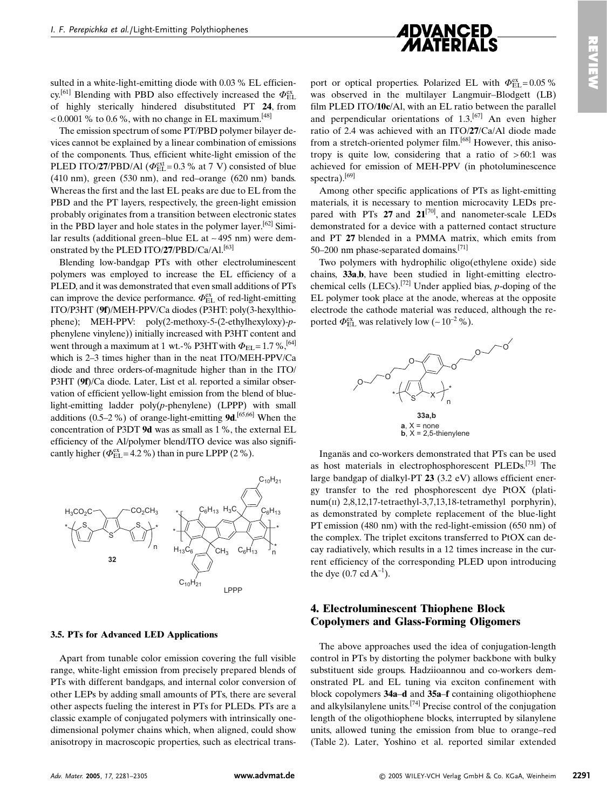

sulted in a white-light-emitting diode with 0.03 % EL efficiency.<sup>[61]</sup> Blending with PBD also effectively increased the  $\Phi_{FL}^{ex}$ of highly sterically hindered disubstituted PT 24, from <0.0001 % to 0.6 %, with no change in EL maximum.  $^{[48]}$ 

The emission spectrum of some PT/PBD polymer bilayer devices cannot be explained by a linear combination of emissions of the components. Thus, efficient white-light emission of the PLED ITO/27/PBD/Al ( $\Phi_{\text{EL}}^{\text{ext}}$  = 0.3 % at 7 V) consisted of blue  $(410 \text{ nm})$ , green  $(530 \text{ nm})$ , and red-orange  $(620 \text{ nm})$  bands. Whereas the first and the last EL peaks are due to EL from the PBD and the PT layers, respectively, the green-light emission probably originates from a transition between electronic states in the PBD laver and hole states in the polymer laver.  $[62]$  Similar results (additional green-blue EL at  $\sim$  495 nm) were demonstrated by the PLED ITO/27/PBD/Ca/Al.<sup>[63]</sup>

Blending low-bandgap PTs with other electroluminescent polymers was employed to increase the EL efficiency of a PLED, and it was demonstrated that even small additions of PTs can improve the device performance.  $\Phi_{\rm EI}^{\rm ex}$  of red-light-emitting ITO/P3HT (9f)/MEH-PPV/Ca diodes (P3HT: poly(3-hexylthiophene); MEH-PPV: poly(2-methoxy-5-(2-ethylhexyloxy)-pphenylene vinylene)) initially increased with P3HT content and went through a maximum at 1 wt.-% P3HT with  $\Phi_{\text{EL}} = 1.7 \, \%$ ,  $^{[64]}$ which is 2-3 times higher than in the neat ITO/MEH-PPV/Ca diode and three orders-of-magnitude higher than in the ITO/ P3HT (9f)/Ca diode. Later, List et al. reported a similar observation of efficient vellow-light emission from the blend of bluelight-emitting ladder  $poly(p$ -phenylene) (LPPP) with small additions (0.5–2%) of orange-light-emitting  $9d$ . [65,66] When the concentration of P3DT 9d was as small as 1%, the external EL efficiency of the Al/polymer blend/ITO device was also significantly higher ( $\Phi_{\text{EL}}^{\text{ex}}$  = 4.2 %) than in pure LPPP (2 %).



#### 3.5. PTs for Advanced LED Applications

Apart from tunable color emission covering the full visible range, white-light emission from precisely prepared blends of PTs with different bandgaps, and internal color conversion of other LEPs by adding small amounts of PTs, there are several other aspects fueling the interest in PTs for PLEDs. PTs are a classic example of conjugated polymers with intrinsically onedimensional polymer chains which, when aligned, could show anisotropy in macroscopic properties, such as electrical trans-

port or optical properties. Polarized EL with  $\Phi_{\text{EL}}^{\text{ex}} = 0.05\%$ was observed in the multilayer Langmuir-Blodgett (LB) film PLED ITO/10c/Al, with an EL ratio between the parallel and perpendicular orientations of  $1.3$ .<sup>[67]</sup> An even higher ratio of 2.4 was achieved with an ITO/27/Ca/Al diode made from a stretch-oriented polymer film.<sup>[68]</sup> However, this anisotropy is quite low, considering that a ratio of  $>60:1$  was achieved for emission of MEH-PPV (in photoluminescence spectra). $[69]$ 

Among other specific applications of PTs as light-emitting materials, it is necessary to mention microcavity LEDs prepared with PTs  $27$  and  $21^{[70]}$ , and nanometer-scale LEDs demonstrated for a device with a patterned contact structure and PT 27 blended in a PMMA matrix, which emits from 50-200 nm phase-separated domains.<sup>[71]</sup>

Two polymers with hydrophilic oligo(ethylene oxide) side chains, 33a,b, have been studied in light-emitting electrochemical cells (LECs).<sup>[72]</sup> Under applied bias,  $p$ -doping of the EL polymer took place at the anode, whereas at the opposite electrode the cathode material was reduced, although the reported  $\Phi_{\text{EL}}^{\text{ex}}$  was relatively low (~10<sup>-2</sup> %).



Inganäs and co-workers demonstrated that PTs can be used as host materials in electrophosphorescent PLEDs.<sup>[73]</sup> The large bandgap of dialkyl-PT  $23$  (3.2 eV) allows efficient energy transfer to the red phosphorescent dye PtOX (plati $num(II) 2,8,12,17-tetraethyl-3,7,13,18-tetramethyl porphyrin)$ , as demonstrated by complete replacement of the blue-light PT emission  $(480 \text{ nm})$  with the red-light-emission  $(650 \text{ nm})$  of the complex. The triplet excitons transferred to PtOX can decay radiatively, which results in a 12 times increase in the current efficiency of the corresponding PLED upon introducing the dye  $(0.7 \text{ cd A}^{-1})$ .

### **4. Electroluminescent Thiophene Block Copolymers and Glass-Forming Oligomers**

The above approaches used the idea of conjugation-length control in PTs by distorting the polymer backbone with bulky substituent side groups. Hadziioannou and co-workers demonstrated PL and EL tuning via exciton confinement with block copolymers 34a–d and 35a–f containing oligothiophene and alkylsilanylene units.  $[74]$  Precise control of the conjugation length of the oligothiophene blocks, interrupted by silanylene units, allowed tuning the emission from blue to orange-red (Table 2). Later, Yoshino et al. reported similar extended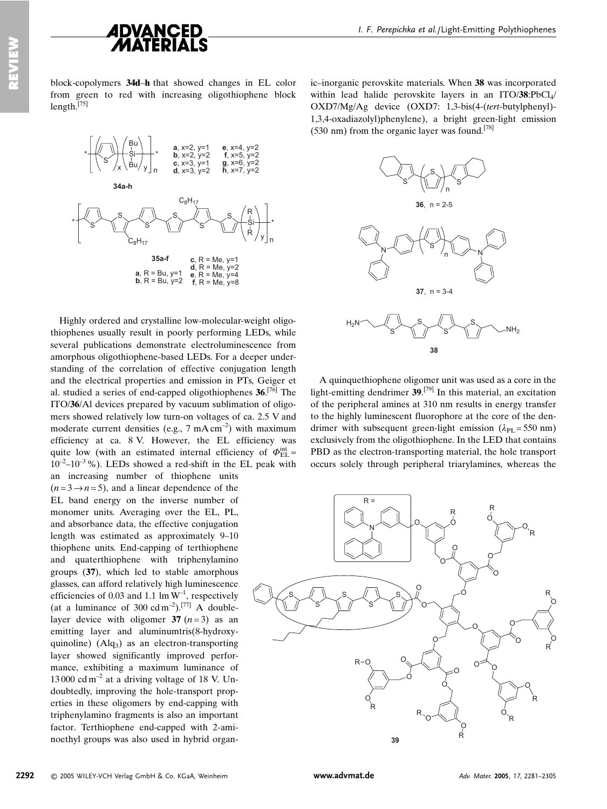

block-copolymers 34d-h that showed changes in EL color from green to red with increasing oligothiophene block length. $^{[75]}$ 



Highly ordered and crystalline low-molecular-weight oligothiophenes usually result in poorly performing LEDs, while several publications demonstrate electroluminescence from amorphous oligothiophene-based LEDs. For a deeper understanding of the correlation of effective conjugation length and the electrical properties and emission in PTs. Geiger et al. studied a series of end-capped oligothiophenes  $36$ <sup>[76]</sup> The ITO/36/Al devices prepared by vacuum sublimation of oligomers showed relatively low turn-on voltages of ca. 2.5 V and moderate current densities (e.g.,  $7 \text{ mA cm}^{-2}$ ) with maximum efficiency at ca. 8 V. However, the EL efficiency was quite low (with an estimated internal efficiency of  $\Phi_{\text{EL}}^{\text{int}}$  $10^{-2}$ – $10^{-3}$ %). LEDs showed a red-shift in the EL peak with an increasing number of thiophene units

 $(n=3 \rightarrow n=5)$ , and a linear dependence of the EL band energy on the inverse number of monomer units. Averaging over the EL, PL, and absorbance data, the effective conjugation length was estimated as approximately 9–10 thiophene units. End-capping of terthiophene and quaterthiophene with triphenylamino groups (37), which led to stable amorphous glasses, can afford relatively high luminescence efficiencies of 0.03 and 1.1 lm  $W^{-1}$ , respectively (at a luminance of 300 cd m<sup>-2</sup>).<sup>[77]</sup> A doublelayer device with oligomer 37  $(n=3)$  as an emitting layer and aluminumtris(8-hydroxyquinoline)  $(Alq_3)$  as an electron-transporting layer showed significantly improved performance, exhibiting a maximum luminance of 13000 cd m<sup>-2</sup> at a driving voltage of 18 V. Undoubtedly, improving the hole-transport properties in these oligomers by end-capping with triphenylamino fragments is also an important factor. Terthiophene end-capped with 2-aminoethyl groups was also used in hybrid organ-

ic–inorganic perovskite materials. When 38 was incorporated within lead halide perovskite layers in an ITO/38:PbCl<sub>4</sub>/ OXD7/Mg/Ag device (OXD7: 1.3-bis(4-(tert-butylphenyl)-1,3,4-oxadiazolyl)phenylene), a bright green-light emission  $(530 \text{ nm})$  from the organic layer was found.<sup>[78]</sup>



A quinque thiophene oligomer unit was used as a core in the light-emitting dendrimer  $39$ .<sup>[79]</sup> In this material, an excitation of the peripheral amines at 310 nm results in energy transfer to the highly luminescent fluorophore at the core of the dendrimer with subsequent green-light emission ( $\lambda_{PI}$  = 550 nm) exclusively from the oligothiophene. In the LED that contains PBD as the electron-transporting material, the hole transport occurs solely through peripheral triarylamines, whereas the

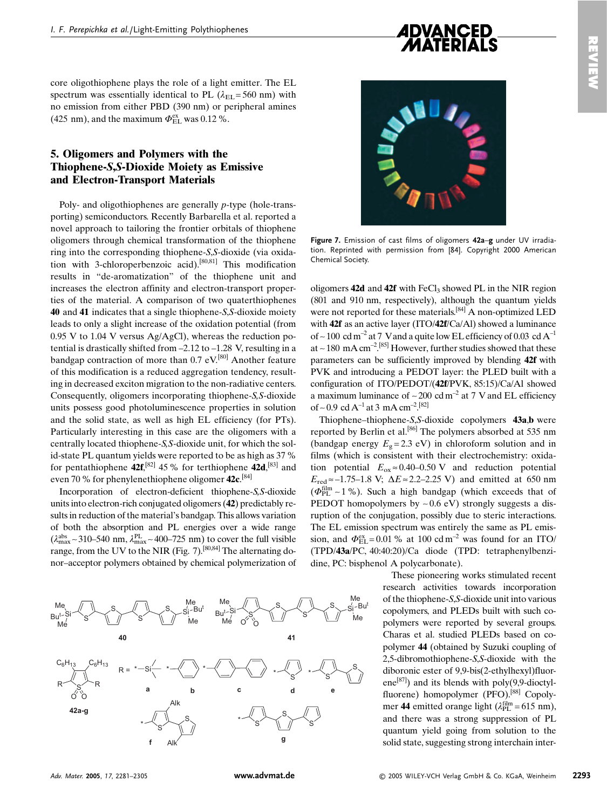

core oligothiophene plays the role of a light emitter. The EL spectrum was essentially identical to PL ( $\lambda_{\text{FL}}$  = 560 nm) with no emission from either PBD (390 nm) or peripheral amines (425 nm), and the maximum  $\Phi_{\text{EL}}^{\text{ex}}$  was 0.12 %.

### 5. Oligomers and Polymers with the **Thiophene-S,S-Dioxide Moiety as Emissive** and Electron-Transport Materials

Poly- and oligothiophenes are generally  $p$ -type (hole-transporting) semiconductors. Recently Barbarella et al. reported a novel approach to tailoring the frontier orbitals of thiophene oligomers through chemical transformation of the thiophene ring into the corresponding thiophene-S,S-dioxide (via oxidation with 3-chloroperbenzoic acid).<sup>[80,81]</sup> This modification results in "de-aromatization" of the thiophene unit and increases the electron affinity and electron-transport properties of the material. A comparison of two quaterthiophenes 40 and 41 indicates that a single thiophene-S, S-dioxide moiety leads to only a slight increase of the oxidation potential (from  $0.95$  V to 1.04 V versus Ag/AgCl), whereas the reduction potential is drastically shifted from  $-2.12$  to  $-1.28$  V, resulting in a bandgap contraction of more than  $0.7$  eV.<sup>[80]</sup> Another feature of this modification is a reduced aggregation tendency, resulting in decreased exciton migration to the non-radiative centers. Consequently, oligomers incorporating thiophene-S, S-dioxide units possess good photoluminescence properties in solution and the solid state, as well as high EL efficiency (for PTs). Particularly interesting in this case are the oligomers with a centrally located thiophene-S, S-dioxide unit, for which the solid-state PL quantum yields were reported to be as high as 37 % for pentathiophene 42f.<sup>[82]</sup> 45 % for terthiophene 42d.<sup>[83]</sup> and even 70 % for phenylenethiophene oligomer  $42c$ .<sup>[84]</sup>

Incorporation of electron-deficient thiophene-S,S-dioxide units into electron-rich conjugated oligomers (42) predictably results in reduction of the material's bandgap. This allows variation of both the absorption and PL energies over a wide range  $(\lambda_{\text{max}}^{\text{abs}} \sim 310 - 540 \text{ nm}, \lambda_{\text{max}}^{\text{PL}} \sim 400 - 725 \text{ nm})$  to cover the full visible range, from the UV to the NIR (Fig.  $7$ ).<sup>[80,84]</sup> The alternating donor-acceptor polymers obtained by chemical polymerization of





Figure 7. Emission of cast films of oligomers 42a-g under UV irradiation. Reprinted with permission from [84]. Copyright 2000 American Chemical Society

oligomers 42d and 42f with FeCl<sub>3</sub> showed PL in the NIR region (801 and 910 nm, respectively), although the quantum yields were not reported for these materials.<sup>[84]</sup> A non-optimized LED with 42f as an active layer (ITO/42f/Ca/Al) showed a luminance of ~100 cd m<sup>-2</sup> at 7 V and a quite low EL efficiency of 0.03 cd  $A^{-1}$ at ~180 mA cm<sup>-2 [85]</sup> However, further studies showed that these parameters can be sufficiently improved by blending 42f with PVK and introducing a PEDOT layer: the PLED built with a configuration of ITO/PEDOT/(42f/PVK, 85:15)/Ca/Al showed a maximum luminance of  $\sim$  200 cd m<sup>-2</sup> at 7 V and EL efficiency of ~ 0.9 cd A<sup>-1</sup> at 3 mA cm<sup>-2</sup>.<sup>[82]</sup>

Thiophene–thiophene-S,S-dioxide copolymers 43a,b were reported by Berlin et al.<sup>[86]</sup> The polymers absorbed at 535 nm (bandgap energy  $E_{\varphi} = 2.3$  eV) in chloroform solution and in films (which is consistent with their electrochemistry: oxidation potential  $E_{ox} \approx 0.40 - 0.50$  V and reduction potential  $E_{\text{red}} \approx -1.75 - 1.8 \text{ V}; \Delta E \approx 2.2 - 2.25 \text{ V}$  and emitted at 650 nm  $(\Phi_{\rm PL}^{\rm film} \sim 1 \%)$ . Such a high bandgap (which exceeds that of PEDOT homopolymers by  $\sim 0.6$  eV) strongly suggests a disruption of the conjugation, possibly due to steric interactions. The EL emission spectrum was entirely the same as PL emission, and  $\Phi_{\text{EL}}^{\text{ex}} = 0.01$ % at 100 cd m<sup>-2</sup> was found for an ITO/ (TPD/43a/PC, 40:40:20)/Ca diode (TPD: tetraphenylbenzidine, PC: bisphenol A polycarbonate).

> These pioneering works stimulated recent research activities towards incorporation of the thiophene-S,S-dioxide unit into various copolymers, and PLEDs built with such copolymers were reported by several groups. Charas et al. studied PLEDs based on copolymer 44 (obtained by Suzuki coupling of 2,5-dibromothiophene-S,S-dioxide with the diboronic ester of 9,9-bis(2-ethylhexyl)fluorene<sup>[87]</sup>) and its blends with poly(9,9-dioctylfluorene) homopolymer (PFO).<sup>[88]</sup> Copolymer 44 emitted orange light ( $\lambda_{\text{PL}}^{\text{film}} = 615$  nm), and there was a strong suppression of PL quantum vield going from solution to the solid state, suggesting strong interchain inter-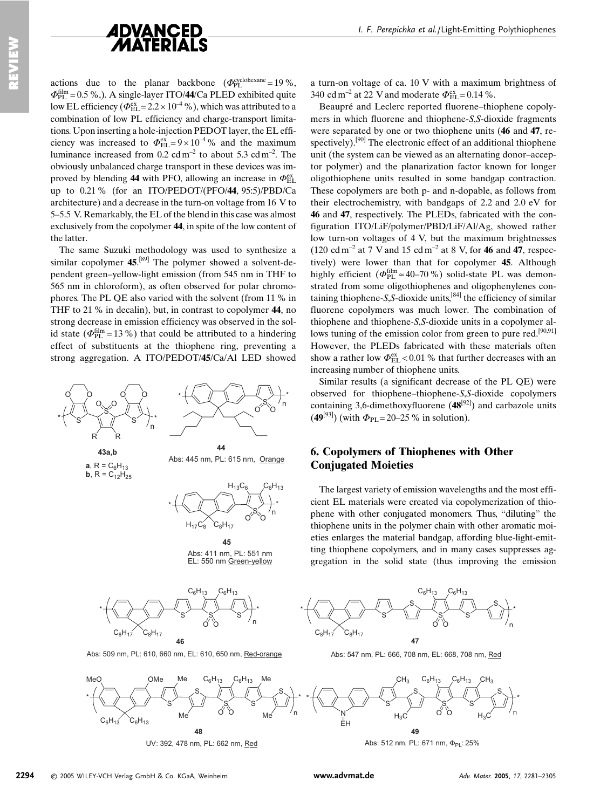

actions due to the planar backbone  $(\Phi_{\text{PL}}^{\text{cyclohexane}} = 19\%$ .  $\Phi_{\text{PI}}^{\text{film}} = 0.5$  %.). A single-layer ITO/44/Ca PLED exhibited quite low EL efficiency ( $\Phi_{\text{EL}}^{\text{ex}}$  = 2.2 × 10<sup>-4</sup> %), which was attributed to a combination of low PL efficiency and charge-transport limitations. Upon inserting a hole-injection PEDOT layer, the EL efficiency was increased to  $\Phi_{\text{EL}}^{\text{ex}} = 9 \times 10^{-4}$ % and the maximum luminance increased from  $0.2 \text{ cdm}^{-2}$  to about 5.3 cd m<sup>-2</sup>. The obviously unbalanced charge transport in these devices was improved by blending 44 with PFO, allowing an increase in  $\Phi_{FL}^{\text{ex}}$ up to 0.21 % (for an ITO/PEDOT/(PFO/44, 95:5)/PBD/Ca architecture) and a decrease in the turn-on voltage from 16 V to 5–5.5 V. Remarkably, the EL of the blend in this case was almost exclusively from the copolymer 44, in spite of the low content of the latter.

The same Suzuki methodology was used to synthesize a similar copolymer  $45.^{[89]}$  The polymer showed a solvent-dependent green-yellow-light emission (from 545 nm in THF to 565 nm in chloroform), as often observed for polar chromophores. The PL QE also varied with the solvent (from 11 % in THF to 21 % in decalin), but, in contrast to copolymer 44, no strong decrease in emission efficiency was observed in the solid state ( $\Phi_{\text{PL}}^{\text{film}} = 13$ %) that could be attributed to a hindering effect of substituents at the thiophene ring, preventing a strong aggregation. A ITO/PEDOT/45/Ca/Al LED showed



a turn-on voltage of ca. 10 V with a maximum brightness of 340 cd m<sup>-2</sup> at 22 V and moderate  $\Phi_{\text{FI}}^{\text{ex}} = 0.14$  %.

Beaupré and Leclerc reported fluorene-thiophene copolymers in which fluorene and thiophene-S,S-dioxide fragments were separated by one or two thiophene units (46 and 47, respectively).<sup>[90]</sup> The electronic effect of an additional thiophene unit (the system can be viewed as an alternating donor-acceptor polymer) and the planarization factor known for longer oligothiophene units resulted in some bandgap contraction. These copolymers are both p- and n-dopable, as follows from their electrochemistry, with bandgaps of 2.2 and 2.0 eV for 46 and 47, respectively. The PLEDs, fabricated with the configuration ITO/LiF/polymer/PBD/LiF/Al/Ag, showed rather low turn-on voltages of 4 V, but the maximum brightnesses  $(120 \text{ cd m}^{-2} \text{ at } 7 \text{ V and } 15 \text{ cd m}^{-2} \text{ at } 8 \text{ V, for } 46 \text{ and } 47 \text{, respec-}$ tively) were lower than that for copolymer 45. Although highly efficient ( $\Phi_{\text{PL}}^{\text{film}} \approx 40-70$ %) solid-state PL was demonstrated from some oligothiophenes and oligophenylenes containing thiophene-S,S-dioxide units,  $[84]$  the efficiency of similar fluorene copolymers was much lower. The combination of thiophene and thiophene-S,S-dioxide units in a copolymer allows tuning of the emission color from green to pure red.<sup>[90,91]</sup> However, the PLEDs fabricated with these materials often show a rather low  $\Phi_{\rm EI}^{\rm ex}$  < 0.01 % that further decreases with an increasing number of thiophene units.

Similar results (a significant decrease of the PL QE) were observed for thiophene-thiophene-S.S-dioxide copolymers containing 3,6-dimethoxyfluorene  $(48^{[92]})$  and carbazole units  $(49^{[93]})$  (with  $\Phi_{PL} = 20-25$  % in solution).

### 6. Copolymers of Thiophenes with Other **Conjugated Moieties**

The largest variety of emission wavelengths and the most efficient EL materials were created via copolymerization of thiophene with other conjugated monomers. Thus, "diluting" the thiophene units in the polymer chain with other aromatic moieties enlarges the material bandgap, affording blue-light-emitting thiophene copolymers, and in many cases suppresses aggregation in the solid state (thus improving the emission



Abs: 547 nm, PL: 666, 708 nm, EL: 668, 708 nm, Red

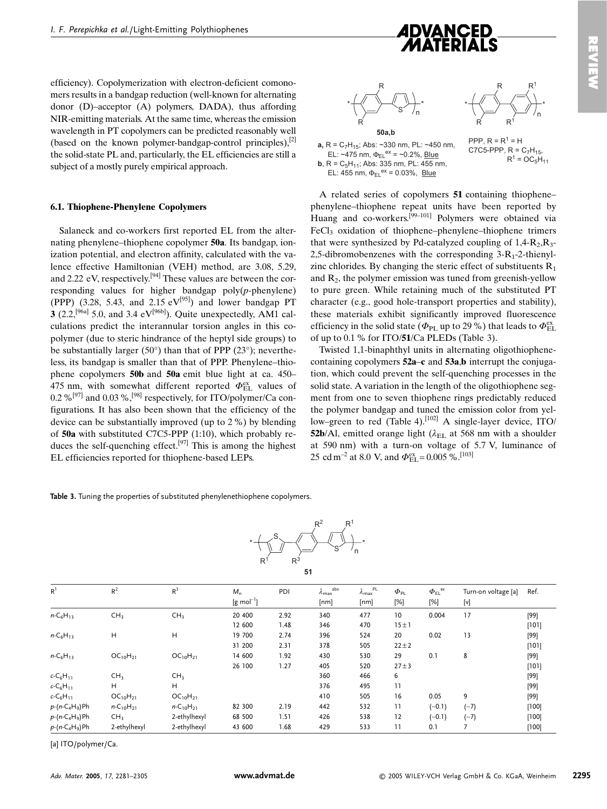

PPP,  $R = R^1 = H$ 

C7C5-PPP,  $R = C_7H_{15}$ ,

 $R^1 = OC_5H_{11}$ 

efficiency). Copolymerization with electron-deficient comonomers results in a bandgap reduction (well-known for alternating donor (D)-acceptor (A) polymers, DADA), thus affording NIR-emitting materials. At the same time, whereas the emission wavelength in PT copolymers can be predicted reasonably well (based on the known polymer-bandgap-control principles), $^{[2]}$ the solid-state PL and, particularly, the EL efficiencies are still a subject of a mostly purely empirical approach.

#### **6.1. Thiophene-Phenylene Copolymers**

Salaneck and co-workers first reported EL from the alternating phenylene-thiophene copolymer 50a. Its bandgap, jonization potential, and electron affinity, calculated with the valence effective Hamiltonian (VEH) method, are 3.08, 5.29, and 2.22 eV, respectively.<sup>[94]</sup> These values are between the corresponding values for higher bandgap  $poly(p$ -phenylene) (PPP)  $(3.28, 5.43, \text{ and } 2.15 \text{ eV}^{[95]})$  and lower bandgap PT 3 (2.2,<sup>[96a]</sup> 5.0, and 3.4 eV<sup>[96b]</sup>). Quite unexpectedly, AM1 calculations predict the interannular torsion angles in this copolymer (due to steric hindrance of the heptyl side groups) to be substantially larger (50 $^{\circ}$ ) than that of PPP (23 $^{\circ}$ ); nevertheless, its bandgap is smaller than that of PPP. Phenylene–thiophene copolymers 50b and 50a emit blue light at ca. 450– 475 nm, with somewhat different reported  $\Phi_{\text{FI}}^{\text{ex}}$  values of 0.2 %<sup>[97]</sup> and 0.03 %,<sup>[98]</sup> respectively, for ITO/polymer/Ca configurations. It has also been shown that the efficiency of the device can be substantially improved (up to  $2\%$ ) by blending of 50a with substituted C7C5-PPP  $(1:10)$ , which probably reduces the self-quenching effect.<sup>[97]</sup> This is among the highest EL efficiencies reported for thiophene-based LEPs.

Table 3. Tuning the properties of substituted phenylenethiophene copolymers.



| R <sup>1</sup>    | $R^2$                            | R <sup>3</sup>                   | $M_n$                            | PDI  | abs<br>$\lambda_{\text{max}}$ | PL<br>$\lambda_{\text{max}}^{\text{F}}$ | $\Phi_{\sf PL}$ | $\Phi_{\text{EL}}^{\text{ex}}$ | Turn-on voltage [a] | Ref.   |
|-------------------|----------------------------------|----------------------------------|----------------------------------|------|-------------------------------|-----------------------------------------|-----------------|--------------------------------|---------------------|--------|
|                   |                                  |                                  | $\left[\text{g mol}^{-1}\right]$ |      | [nm]                          | [nm]                                    | [%]             | [%]                            | [v]                 |        |
| $n - C_6H_{13}$   | CH <sub>3</sub>                  | CH <sub>3</sub>                  | 20 400                           | 2.92 | 340                           | 477                                     | 10              | 0.004                          | 17                  | $[99]$ |
|                   |                                  |                                  | 12 600                           | 1.48 | 346                           | 470                                     | 15±1            |                                |                     | [101]  |
| $n - C_6H_{13}$   | H                                | H                                | 19 700                           | 2.74 | 396                           | 524                                     | 20              | 0.02                           | 13                  | [99]   |
|                   |                                  |                                  | 31 200                           | 2.31 | 378                           | 505                                     | $22 \pm 2$      |                                |                     | [101]  |
| $n - C_6H_{13}$   | OC <sub>10</sub> H <sub>21</sub> | OC <sub>10</sub> H <sub>21</sub> | 14 600                           | 1.92 | 430                           | 530                                     | 29              | 0.1                            | 8                   | [99]   |
|                   |                                  |                                  | 26 100                           | 1.27 | 405                           | 520                                     | $27 \pm 3$      |                                |                     | [101]  |
| $c - C_6 H_{11}$  | CH <sub>3</sub>                  | CH <sub>3</sub>                  |                                  |      | 360                           | 466                                     | 6               |                                |                     | [99]   |
| $c - C_6 H_{11}$  | H                                | H                                |                                  |      | 376                           | 495                                     | 11              |                                |                     | $[99]$ |
| $c - C_6 H_{11}$  | $OC_{10}H_{21}$                  | OC <sub>10</sub> H <sub>21</sub> |                                  |      | 410                           | 505                                     | 16              | 0.05                           | 9                   | $[99]$ |
| $p-(n-C_4H_9)Ph$  | $n - C_{10}H_{21}$               | $n - C_{10}H_{21}$               | 82 300                           | 2.19 | 442                           | 532                                     | 11              | $(-0.1)$                       | $(-7)$              | [100]  |
| $p-(n-C_4H_9)$ Ph | CH <sub>3</sub>                  | 2-ethylhexyl                     | 68 500                           | 1.51 | 426                           | 538                                     | 12              | $(-0.1)$                       | $(-7)$              | [100]  |
| $p-(n-C_4H_9)Ph$  | 2-ethylhexyl                     | 2-ethylhexyl                     | 43 600                           | 1.68 | 429                           | 533                                     | 11              | 0.1                            |                     | [100]  |

[a] ITO/polymer/Ca.



 $a, R = C<sub>7</sub>H<sub>15</sub>$ ; Abs: ~330 nm, PL: ~450 nm, EL: ~475 nm,  $\Phi_{EL}^{ex}$  = ~0.2%, Blue **b**, R =  $C_5H_{11}$ ; Abs: 335 nm, PL:  $\overline{455}$  nm, EL: 455 nm,  $\Phi_{FL}^{ex} = 0.03\%$ , Blue

A related series of copolymers 51 containing thiophenephenylene–thiophene repeat units have been reported by Huang and co-workers.<sup>[99-101]</sup> Polymers were obtained via  $FeCl<sub>3</sub>$  oxidation of thiophene–phenylene–thiophene trimers that were synthesized by Pd-catalyzed coupling of  $1.4-R<sub>2</sub>$ .  $R<sub>3</sub>$ -2.5-dibromobenzenes with the corresponding  $3-R_1-2$ -thienylzinc chlorides. By changing the steric effect of substituents  $R_1$ and  $R_2$ , the polymer emission was tuned from greenish-vellow to pure green. While retaining much of the substituted PT character (e.g., good hole-transport properties and stability). these materials exhibit significantly improved fluorescence efficiency in the solid state ( $\Phi_{\text{PL}}$  up to 29 %) that leads to  $\Phi_{\text{EL}}^{\text{ex}}$ of up to 0.1 % for ITO/51/Ca PLEDs (Table 3).

Twisted 1,1-binaphthyl units in alternating oligothiophenecontaining copolymers 52a–c and 53a,b interrupt the conjugation, which could prevent the self-quenching processes in the solid state. A variation in the length of the oligothiophene segment from one to seven thiophene rings predictably reduced the polymer bandgap and tuned the emission color from yellow–green to red (Table 4).<sup>[102]</sup> A single-layer device, ITO/ 52b/Al, emitted orange light ( $\lambda_{\text{FL}}$  at 568 nm with a shoulder at 590 nm) with a turn-on voltage of 5.7 V, luminance of 25 cd m<sup>-2</sup> at 8.0 V, and  $\Phi_{\text{EL}}^{\text{ex}} = 0.005$  %. [103]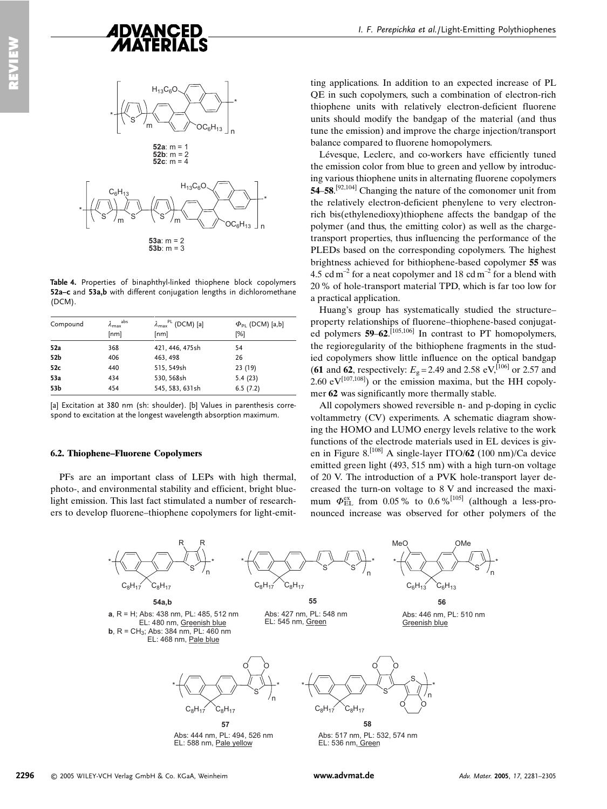

Table 4. Properties of binaphthyl-linked thiophene block copolymers 52a-c and 53a,b with different conjugation lengths in dichloromethane (DCM).

| Compound | abs<br>$\lambda_{\text{max}}$<br>[nm] | $\lambda_{\text{max}}^{\text{PL}}$ (DCM) [a]<br>[nm] | $\Phi_{\rm pl}$ (DCM) [a,b]<br>[%] |
|----------|---------------------------------------|------------------------------------------------------|------------------------------------|
| 52a      | 368                                   | 421, 446, 475sh                                      | 54                                 |
| 52b      | 406                                   | 463, 498                                             | 26                                 |
| 52c      | 440                                   | 515, 549sh                                           | 23 (19)                            |
| 53a      | 434                                   | 530, 568sh                                           | 5.4(23)                            |
| 53b      | 454                                   | 545, 583, 631sh                                      | 6.5(7.2)                           |

Tal Excitation at 380 nm (sh: shoulder). Ibl Values in parenthesis correspond to excitation at the longest wavelength absorption maximum.

#### 6.2. Thiophene-Fluorene Copolymers

PFs are an important class of LEPs with high thermal, photo-, and environmental stability and efficient, bright bluelight emission. This last fact stimulated a number of researchers to develop fluorene-thiophene copolymers for light-emit-

ting applications. In addition to an expected increase of PL OE in such copolymers, such a combination of electron-rich thiophene units with relatively electron-deficient fluorene units should modify the bandgap of the material (and thus tune the emission) and improve the charge injection/transport balance compared to fluorene homopolymers.

Lévesque, Leclerc, and co-workers have efficiently tuned the emission color from blue to green and yellow by introducing various thiophene units in alternating fluorene copolymers 54–58.<sup>[92,104]</sup> Changing the nature of the comonomer unit from the relatively electron-deficient phenylene to very electronrich bis(ethylenedioxy)thiophene affects the bandgap of the polymer (and thus, the emitting color) as well as the chargetransport properties, thus influencing the performance of the PLEDs based on the corresponding copolymers. The highest brightness achieved for bithiophene-based copolymer 55 was 4.5 cd m<sup>-2</sup> for a neat copolymer and 18 cd m<sup>-2</sup> for a blend with 20 % of hole-transport material TPD, which is far too low for a practical application.

Huang's group has systematically studied the structureproperty relationships of fluorene-thiophene-based conjugated polymers  $59-62$ .<sup>[105,106]</sup> In contrast to PT homopolymers, the regioregularity of the bithiophene fragments in the studied copolymers show little influence on the optical bandgap (61 and 62, respectively:  $E_{\rho} = 2.49$  and 2.58 eV, [106] or 2.57 and 2.60 eV<sup>[107,108]</sup>) or the emission maxima, but the HH copolymer 62 was significantly more thermally stable.

All copolymers showed reversible n- and p-doping in cyclic voltammetry (CV) experiments. A schematic diagram showing the HOMO and LUMO energy levels relative to the work functions of the electrode materials used in EL devices is given in Figure 8.<sup>[108]</sup> A single-layer ITO/62 (100 nm)/Ca device emitted green light (493, 515 nm) with a high turn-on voltage of 20 V. The introduction of a PVK hole-transport layer decreased the turn-on voltage to 8 V and increased the maximum  $\Phi_{\text{FI}}^{\text{ex}}$  from 0.05% to 0.6%<sup>[105]</sup> (although a less-pronounced increase was observed for other polymers of the

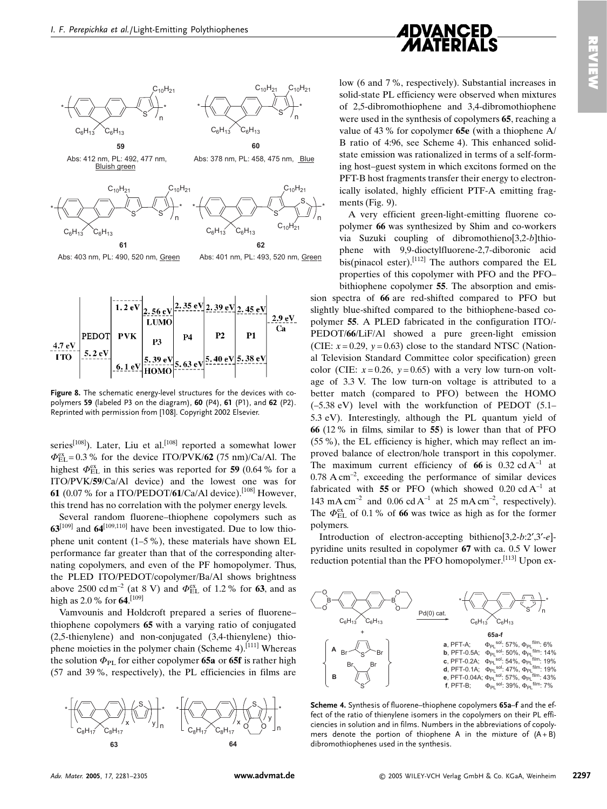$10H<sub>2</sub>$ 





Abs: 403 nm, PL: 490, 520 nm, Green

Abs: 401 nm, PL: 493, 520 nm, Green

 $C_{10}H_{21}$ 

 $10H_{21}$ 



Figure 8. The schematic energy-level structures for the devices with copolymers 59 (labeled P3 on the diagram), 60 (P4), 61 (P1), and 62 (P2). Reprinted with permission from [108]. Copyright 2002 Elsevier.

series<sup>[108]</sup>). Later, Liu et al.<sup>[108]</sup> reported a somewhat lower  $\Phi_{\text{EL}}^{\text{ex}} = 0.3$ % for the device ITO/PVK/62 (75 nm)/Ca/Al. The highest  $\Phi_{\rm EI}^{\rm ex}$  in this series was reported for 59 (0.64 % for a ITO/PVK/59/Ca/Al device) and the lowest one was for 61 (0.07 % for a ITO/PEDOT/61/Ca/Al device).<sup>[108]</sup> However. this trend has no correlation with the polymer energy levels.

Several random fluorene-thiophene copolymers such as  $63^{[109]}$  and  $64^{[109,110]}$  have been investigated. Due to low thiophene unit content  $(1-5\%)$ , these materials have shown EL performance far greater than that of the corresponding alternating copolymers, and even of the PF homopolymer. Thus, the PLED ITO/PEDOT/copolymer/Ba/Al shows brightness above 2500 cd m<sup>-2</sup> (at 8 V) and  $\Phi_{\text{EL}}^{\text{ex}}$  of 1.2 % for 63, and as high as 2.0 % for 64.[109]

Vamvounis and Holdcroft prepared a series of fluorenethiophene copolymers 65 with a varying ratio of conjugated  $(2,5\text{-thienylene})$  and non-conjugated  $(3,4\text{-thienylene})$  thiophene moieties in the polymer chain (Scheme 4).<sup>[111]</sup> Whereas the solution  $\Phi_{\text{PL}}$  for either copolymer 65a or 65f is rather high (57 and 39%, respectively), the PL efficiencies in films are



low (6 and 7%, respectively). Substantial increases in solid-state PL efficiency were observed when mixtures of 2,5-dibromothiophene and 3,4-dibromothiophene were used in the synthesis of copolymers 65, reaching a value of 43 % for copolymer 65e (with a thiophene  $A$ ) B ratio of 4:96, see Scheme 4). This enhanced solidstate emission was rationalized in terms of a self-forming host-guest system in which excitons formed on the PFT-B host fragments transfer their energy to electronically isolated, highly efficient PTF-A emitting fragments (Fig.  $9$ ).

A very efficient green-light-emitting fluorene copolymer 66 was synthesized by Shim and co-workers via Suzuki coupling of dibromothieno[3,2-b]thiophene with 9,9-dioctylfluorene-2,7-diboronic acid bis(pinacol ester).  $[112]$  The authors compared the EL properties of this copolymer with PFO and the PFObithiophene copolymer 55. The absorption and emis-

sion spectra of 66 are red-shifted compared to PFO but slightly blue-shifted compared to the bithiophene-based copolymer 55. A PLED fabricated in the configuration ITO/-PEDOT/66/LiF/Al showed a pure green-light emission (CIE:  $x = 0.29$ ,  $y = 0.63$ ) close to the standard NTSC (National Television Standard Committee color specification) green color (CIE:  $x=0.26$ ,  $y=0.65$ ) with a very low turn-on voltage of 3.3 V. The low turn-on voltage is attributed to a better match (compared to PFO) between the HOMO  $(-5.38$  eV) level with the workfunction of PEDOT  $(5.1 -$ 5.3 eV). Interestingly, although the PL quantum yield of 66 (12 % in films, similar to 55) is lower than that of PFO (55 %), the EL efficiency is higher, which may reflect an improved balance of electron/hole transport in this copolymer. The maximum current efficiency of 66 is 0.32 cd  $A^{-1}$  at  $0.78 \text{ A cm}^{-2}$ , exceeding the performance of similar devices fabricated with 55 or PFO (which showed 0.20 cd  $A^{-1}$  at 143 mA cm<sup>-2</sup> and 0.06 cd A<sup>-1</sup> at 25 mA cm<sup>-2</sup>, respectively). The  $\Phi_{\text{FI}}^{\text{ex}}$  of 0.1 % of 66 was twice as high as for the former polymers.

Introduction of electron-accepting bithieno[3,2-b:2',3'-e]pyridine units resulted in copolymer 67 with ca. 0.5 V lower reduction potential than the PFO homopolymer.<sup>[113]</sup> Upon ex-



Scheme 4. Synthesis of fluorene-thiophene copolymers 65a-f and the effect of the ratio of thienvlene isomers in the copolymers on their PL efficiencies in solution and in films. Numbers in the abbreviations of copolymers denote the portion of thiophene A in the mixture of  $(A + B)$ dibromothiophenes used in the synthesis.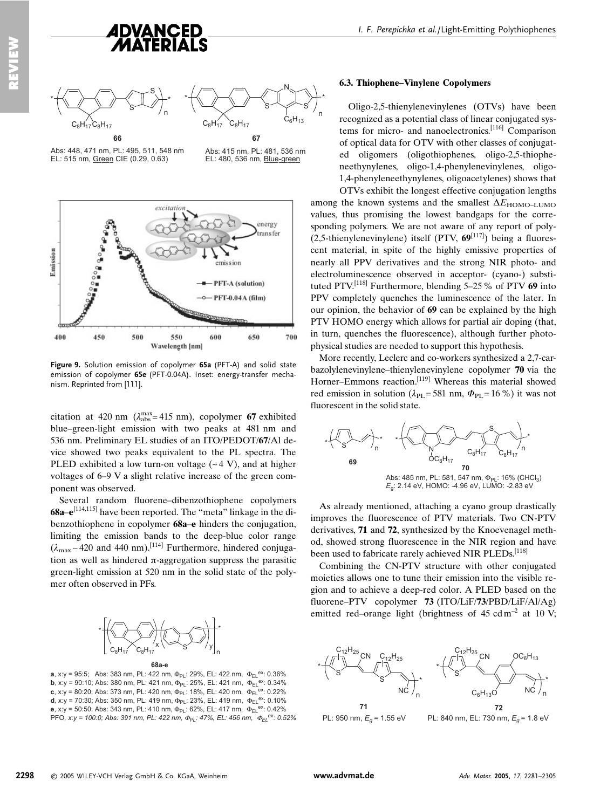

66 Abs: 448, 471 nm, PL: 495, 511, 548 nm EL: 515 nm, Green CIE (0.29, 0.63)

67 Abs: 415 nm. PL: 481, 536 nm EL: 480, 536 nm, Blue-green



Figure 9. Solution emission of copolymer 65a (PFT-A) and solid state emission of copolymer 65e (PFT-0.04A). Inset: energy-transfer mechanism. Reprinted from [111].

citation at 420 nm ( $\lambda_{\rm abs}^{\rm max}$ = 415 nm), copolymer 67 exhibited blue–green-light emission with two peaks at 481 nm and 536 nm. Preliminary EL studies of an ITO/PEDOT/67/Al device showed two peaks equivalent to the PL spectra. The PLED exhibited a low turn-on voltage  $(-4 V)$ , and at higher voltages of 6–9 V a slight relative increase of the green component was observed.

Several random fluorene-dibenzothiophene copolymers 68a-e<sup>[114,115]</sup> have been reported. The "meta" linkage in the dibenzothiophene in copolymer 68a–e hinders the conjugation, limiting the emission bands to the deep-blue color range  $(\lambda_{\text{max}} - 420$  and 440 nm).<sup>[114]</sup> Furthermore, hindered conjugation as well as hindered  $\pi$ -aggregation suppress the parasitic green-light emission at 520 nm in the solid state of the polymer often observed in PFs.



**a**, x:y = 95:5; Abs: 383 nm, PL: 422 nm,  $\Phi_{PL}$ : 29%, EL: 422 nm,  $\Phi_{EL}$ <sup>ex</sup>: 0.36% **b**, x:y = 90:10; Abs: 380 nm, PL: 421 nm,  $\Phi_{PL}$ : 25%, EL: 421 nm,  $\Phi_{EL}^{ex}$ : 0.34% c, x:y = 80:20; Abs: 373 nm, PL: 420 nm,  $\Phi_{PL}$ : 18%, EL: 420 nm,  $\Phi_{EL}^{ex}$ : 0.22% **d**, x:y = 70:30; Abs: 350 nm, PL: 419 nm,  $\Phi_{PL}$ : 23%, EL: 419 nm,  $\Phi_{EL}^{ex}$ : 0.10% e, x:y = 50:50; Abs: 343 nm, PL: 410 nm,  $\Phi_{PL}$ : 62%, EL: 417 nm,  $\Phi_{EL}^{-\text{ex.}}$  0.42% PFO, x:y = 100:0; Abs: 391 nm, PL: 422 nm,  $\Phi_{PL}$ : 47%, EL: 456 nm,  $\Phi_{EL}^{ex}$ : 0.52%

#### **6.3. Thiophene-Vinylene Copolymers**

Oligo-2,5-thienylenevinylenes (OTVs) have been recognized as a potential class of linear conjugated systems for micro- and nanoelectronics.<sup>[116]</sup> Comparison of optical data for OTV with other classes of conjugated oligomers (oligothiophenes, oligo-2,5-thiopheneethynylenes, oligo-1,4-phenylenevinylenes, oligo-1,4-phenyleneethynylenes, oligoacetylenes) shows that

OTVs exhibit the longest effective conjugation lengths among the known systems and the smallest  $\Delta E_{\text{HOMO-LUMO}}$ values, thus promising the lowest bandgaps for the corresponding polymers. We are not aware of any report of poly- $(2.5\text{-thienylene}$  itself (PTV,  $69^{[117]}$ ) being a fluorescent material, in spite of the highly emissive properties of nearly all PPV derivatives and the strong NIR photo- and electroluminescence observed in acceptor- (cyano-) substituted PTV.<sup>[118]</sup> Furthermore, blending 5–25 % of PTV 69 into PPV completely quenches the luminescence of the later. In our opinion, the behavior of 69 can be explained by the high PTV HOMO energy which allows for partial air doping (that, in turn, quenches the fluorescence), although further photophysical studies are needed to support this hypothesis.

More recently, Leclerc and co-workers synthesized a 2,7-carbazolylenevinylene-thienylenevinylene copolymer 70 via the Horner-Emmons reaction.<sup>[119]</sup> Whereas this material showed red emission in solution ( $\lambda_{PI}$  = 581 nm,  $\Phi_{PI}$  = 16 %) it was not fluorescent in the solid state.



As already mentioned, attaching a cyano group drastically improves the fluorescence of PTV materials. Two CN-PTV derivatives, 71 and 72, synthesized by the Knoevenagel method, showed strong fluorescence in the NIR region and have been used to fabricate rarely achieved NIR PLEDs.<sup>[118]</sup>

Combining the CN-PTV structure with other conjugated mojeties allows one to tune their emission into the visible region and to achieve a deep-red color. A PLED based on the fluorene-PTV copolymer  $73$  (ITO/LiF/73/PBD/LiF/Al/Ag) emitted red-orange light (brightness of  $45 \text{ cdm}^{-2}$  at 10 V;

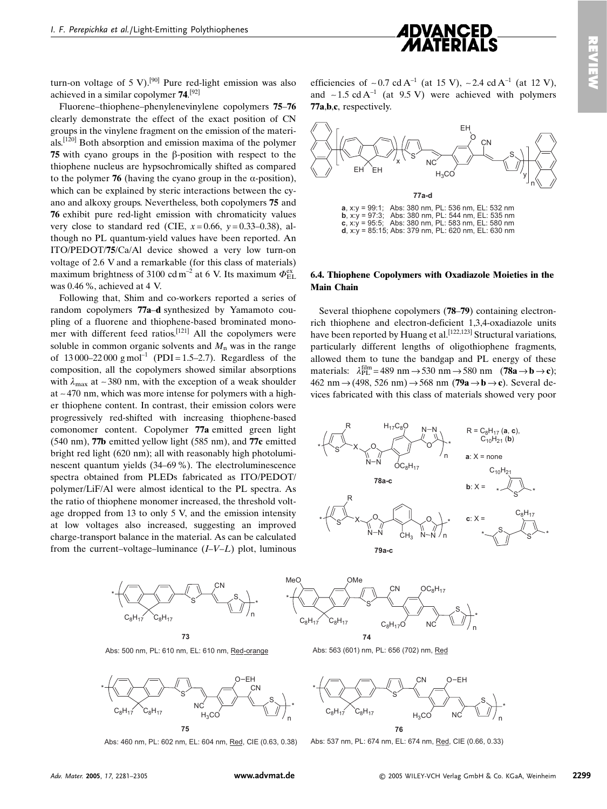

turn-on voltage of 5 V).<sup>[90]</sup> Pure red-light emission was also achieved in a similar conolymer  $74^{[92]}$ 

Fluorene-thiophene-phenylenevinylene copolymers 75–76 clearly demonstrate the effect of the exact position of CN groups in the vinylene fragment on the emission of the materials.<sup>[120]</sup> Both absorption and emission maxima of the polymer 75 with cyano groups in the  $\beta$ -position with respect to the thiophene nucleus are hypsochromically shifted as compared to the polymer 76 (having the cyano group in the  $\alpha$ -position), which can be explained by steric interactions between the cyano and alkoxy groups. Nevertheless, both copolymers 75 and 76 exhibit pure red-light emission with chromaticity values very close to standard red (CIE,  $x=0.66$ ,  $y=0.33-0.38$ ), although no PL quantum-yield values have been reported. An ITO/PEDOT/75/Ca/Al device showed a very low turn-on voltage of 2.6 V and a remarkable (for this class of materials) maximum brightness of 3100 cd m<sup>-2</sup> at 6 V. Its maximum  $\Phi_{FL}^{\text{ex}}$ was 0.46 %, achieved at 4 V.

Following that, Shim and co-workers reported a series of random copolymers 77a-d synthesized by Yamamoto coupling of a fluorene and thiophene-based brominated monomer with different feed ratios.<sup>[121]</sup> All the copolymers were soluble in common organic solvents and  $M_n$  was in the range of 13000–22000 g mol<sup>-1</sup> (PDI = 1.5–2.7). Regardless of the composition, all the copolymers showed similar absorptions with  $\lambda_{\text{max}}$  at ~380 nm, with the exception of a weak shoulder at  $\sim$  470 nm, which was more intense for polymers with a higher thiophene content. In contrast, their emission colors were progressively red-shifted with increasing thiophene-based comonomer content. Copolymer 77a emitted green light (540 nm), 77b emitted yellow light (585 nm), and 77c emitted bright red light (620 nm); all with reasonably high photoluminescent quantum yields (34–69 %). The electroluminescence spectra obtained from PLEDs fabricated as ITO/PEDOT/ polymer/LiF/Al were almost identical to the PL spectra. As the ratio of thiophene monomer increased, the threshold voltage dropped from 13 to only 5 V, and the emission intensity at low voltages also increased, suggesting an improved charge-transport balance in the material. As can be calculated from the current-voltage-luminance  $(I-V-L)$  plot, luminous

efficiencies of  $\sim 0.7$  cd A<sup>-1</sup> (at 15 V),  $\sim 2.4$  cd A<sup>-1</sup> (at 12 V), and  $\sim$  1.5 cd A<sup>-1</sup> (at 9.5 V) were achieved with polymers 77a, b,c, respectively.



**a**, x:y = 99:1; Abs: 380 nm, PL: 536 nm, EL: 532 nm<br>**b**, x:y = 97:3; Abs: 380 nm, PL: 544 nm, EL: 535 nm c,  $x:y = 95:5;$ Abs: 380 nm, PL: 583 nm, EL: 580 nm  $d, x:y = 85:15$ ; Abs: 379 nm, PL: 620 nm, EL: 630 nm

#### 6.4. Thiophene Copolymers with Oxadiazole Moieties in the **Main Chain**

Several thiophene copolymers (78–79) containing electronrich thiophene and electron-deficient 1,3,4-oxadiazole units have been reported by Huang et al.<sup>[122,123]</sup> Structural variations. particularly different lengths of oligothiophene fragments, allowed them to tune the bandgap and PL energy of these materials:  $\lambda_{\text{PI}}^{\text{film}} = 489 \text{ nm} \rightarrow 530 \text{ nm} \rightarrow 580 \text{ nm}$  (78a  $\rightarrow$  b  $\rightarrow$  c); 462 nm  $\rightarrow$  (498, 526 nm)  $\rightarrow$  568 nm (79a  $\rightarrow$  b  $\rightarrow$  c). Several devices fabricated with this class of materials showed very poor





Abs: 500 nm, PL: 610 nm, EL: 610 nm, Red-orange



Abs: 460 nm, PL: 602 nm, EL: 604 nm, Red, CIE (0.63, 0.38)

Abs: 563 (601) nm, PL: 656 (702) nm, Red



Abs: 537 nm, PL: 674 nm, EL: 674 nm, Red, CIE (0.66, 0.33)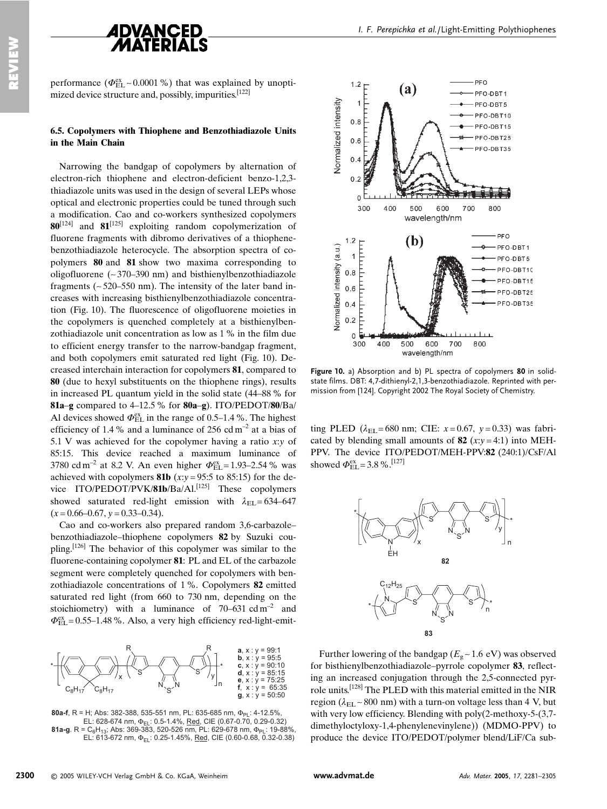

performance ( $\Phi_{FL}^{ex} \sim 0.0001$ %) that was explained by unoptimized device structure and, possibly, impurities.<sup>[122]</sup>

#### 6.5. Copolymers with Thiophene and Benzothiadiazole Units in the Main Chain

Narrowing the bandgap of copolymers by alternation of electron-rich thiophene and electron-deficient benzo-1,2,3thiadiazole units was used in the design of several LEPs whose optical and electronic properties could be tuned through such a modification. Cao and co-workers synthesized copolymers  $80^{[124]}$  and  $81^{[125]}$  exploiting random copolymerization of fluorene fragments with dibromo derivatives of a thiophenebenzothiadiazole heterocycle. The absorption spectra of copolymers 80 and 81 show two maxima corresponding to oligofluorene ( $\sim$ 370–390 nm) and bisthienylbenzothiadiazole fragments ( $\sim$  520–550 nm). The intensity of the later band increases with increasing bisthienylbenzothiadiazole concentration (Fig. 10). The fluorescence of oligofluorene moieties in the copolymers is quenched completely at a bisthienylbenzothiadiazole unit concentration as low as 1 % in the film due to efficient energy transfer to the narrow-bandgap fragment, and both copolymers emit saturated red light (Fig. 10). Decreased interchain interaction for copolymers 81, compared to 80 (due to hexyl substituents on the thiophene rings), results in increased PL quantum vield in the solid state (44–88 % for 81a-g compared to  $4-12.5$ % for 80a-g). ITO/PEDOT/80/Ba/ Al devices showed  $\Phi_{\text{EL}}^{\text{ex}}$  in the range of 0.5–1.4 %. The highest efficiency of 1.4 % and a luminance of 256 cd  $m^{-2}$  at a bias of 5.1 V was achieved for the copolymer having a ratio  $x:y$  of 85:15. This device reached a maximum luminance of 3780 cd m<sup>-2</sup> at 8.2 V. An even higher  $\Phi_{\rm FL}^{\rm ex} = 1.93 - 2.54$  % was achieved with copolymers 81b  $(x:y = 95:5$  to 85:15) for the device ITO/PEDOT/PVK/81b/Ba/Al.<sup>[125]</sup> These copolymers showed saturated red-light emission with  $\lambda_{FI} = 634-647$  $(x=0.66-0.67, y=0.33-0.34).$ 

Cao and co-workers also prepared random 3,6-carbazolebenzothiadiazole-thiophene copolymers 82 by Suzuki coupling.  $[126]$  The behavior of this copolymer was similar to the fluorene-containing copolymer 81: PL and EL of the carbazole segment were completely quenched for copolymers with benzothiadiazole concentrations of 1%. Copolymers 82 emitted saturated red light (from 660 to 730 nm, depending on the stoichiometry) with a luminance of  $70-631$  cd m<sup>-2</sup> and  $\Phi_{\text{EL}}^{\text{ex}}$  = 0.55–1.48%. Also, a very high efficiency red-light-emit-



80a-f, R = H; Abs: 382-388, 535-551 nm, PL: 635-685 nm,  $\Phi_{PL}$ : 4-12.5% EL: 628-674 nm,  $\Phi_{E1}$ : 0.5-1.4%, Red, CIE (0.67-0.70, 0.29-0.32)<br>81a-g. R = C<sub>6</sub>H<sub>13</sub>; Abs: 369-383, 520-526 nm, PL: 629-678 nm,  $\Phi_{PL}$ : 19-88% EL: 613-672 nm,  $\Phi_{F1}$ : 0.25-1.45%, Red, CIE (0.60-0.68, 0.32-0.38)



Figure 10. a) Absorption and b) PL spectra of copolymers 80 in solidstate films. DBT: 4.7-dithienyl-2.1.3-benzothiadiazole. Reprinted with permission from [124]. Copyright 2002 The Royal Society of Chemistry.

ting PLED ( $\lambda_{FI}$  = 680 nm; CIE:  $x = 0.67$ ,  $y = 0.33$ ) was fabricated by blending small amounts of 82  $(x:y=4:1)$  into MEH-PPV. The device ITO/PEDOT/MEH-PPV:82 (240:1)/CsF/Al showed  $\Phi_{\text{EL}}^{\text{ex}} = 3.8 \%$ . [127]



Further lowering of the bandgap ( $E_g \sim 1.6$  eV) was observed for bisthienylbenzothiadiazole-pyrrole copolymer 83, reflecting an increased conjugation through the 2,5-connected pyrrole units.<sup>[128]</sup> The PLED with this material emitted in the NIR region ( $\lambda_{\text{EL}}$  ~ 800 nm) with a turn-on voltage less than 4 V, but with very low efficiency. Blending with  $poly(2-methoxy-5-(3,7-1))$ dimethyloctyloxy-1,4-phenylenevinylene)) (MDMO-PPV) to produce the device ITO/PEDOT/polymer blend/LiF/Ca sub-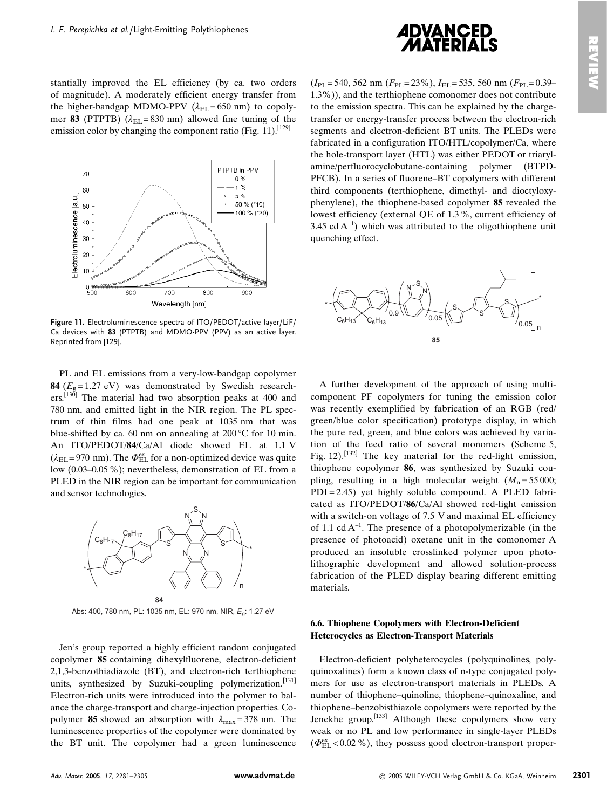

stantially improved the EL efficiency (by ca. two orders of magnitude). A moderately efficient energy transfer from the higher-bandgap MDMO-PPV ( $\lambda_{\text{EL}}$ =650 nm) to copolymer 83 (PTPTB) ( $\lambda_{\text{EL}}$ =830 nm) allowed fine tuning of the emission color by changing the component ratio (Fig. 11).<sup>[129]</sup>



Figure 11. Electroluminescence spectra of ITO/PEDOT/active layer/LiF/ Ca devices with 83 (PTPTB) and MDMO-PPV (PPV) as an active layer. Reprinted from [129].

PL and EL emissions from a very-low-bandgap copolymer 84  $(E_0 = 1.27$  eV) was demonstrated by Swedish researchers.<sup>[130]</sup> The material had two absorption peaks at 400 and 780 nm, and emitted light in the NIR region. The PL spectrum of thin films had one peak at 1035 nm that was blue-shifted by ca. 60 nm on annealing at  $200\degree$ C for 10 min. An ITO/PEDOT/84/Ca/Al diode showed EL at 1.1 V  $(\lambda_{\text{EL}} = 970 \text{ nm})$ . The  $\Phi_{\text{EL}}^{\text{ex}}$  for a non-optimized device was quite low (0.03–0.05 %); nevertheless, demonstration of EL from a PLED in the NIR region can be important for communication and sensor technologies.



Abs: 400, 780 nm, PL: 1035 nm, EL: 970 nm, NIR, E<sub>q</sub>: 1.27 eV

Jen's group reported a highly efficient random conjugated copolymer 85 containing dihexylfluorene, electron-deficient 2,1,3-benzothiadiazole (BT), and electron-rich terthiophene units, synthesized by Suzuki-coupling polymerization.<sup>[131]</sup> Electron-rich units were introduced into the polymer to balance the charge-transport and charge-injection properties. Copolymer 85 showed an absorption with  $\lambda_{\text{max}} = 378$  nm. The luminescence properties of the copolymer were dominated by the BT unit. The copolymer had a green luminescence

 $(I_{PL} = 540, 562 \text{ nm}$   $(F_{PL} = 23\%)$ ,  $I_{EL} = 535, 560 \text{ nm}$   $(F_{PL} = 0.39 - 1.562 \text{ nm}$ 1.3%), and the terthiophene comonomer does not contribute to the emission spectra. This can be explained by the chargetransfer or energy-transfer process between the electron-rich segments and electron-deficient BT units. The PLEDs were fabricated in a configuration ITO/HTL/copolymer/Ca, where the hole-transport layer (HTL) was either PEDOT or triarylamine/perfluorocyclobutane-containing polymer (BTPD-PFCB). In a series of fluorene-BT copolymers with different third components (terthiophene, dimethyl- and dioctyloxyphenylene), the thiophene-based copolymer 85 revealed the lowest efficiency (external QE of 1.3%, current efficiency of 3.45 cd  $A^{-1}$ ) which was attributed to the oligothiophene unit quenching effect.



A further development of the approach of using multicomponent PF copolymers for tuning the emission color was recently exemplified by fabrication of an RGB (red/ green/blue color specification) prototype display, in which the pure red, green, and blue colors was achieved by variation of the feed ratio of several monomers (Scheme 5, Fig. 12).<sup>[132]</sup> The key material for the red-light emission, thiophene copolymer 86, was synthesized by Suzuki coupling, resulting in a high molecular weight  $(M_n = 55000)$ ;  $PDI = 2.45$ ) yet highly soluble compound. A PLED fabricated as ITO/PEDOT/86/Ca/Al showed red-light emission with a switch-on voltage of 7.5 V and maximal EL efficiency of 1.1 cd  $A^{-1}$ . The presence of a photopolymerizable (in the presence of photoacid) oxetane unit in the comonomer A produced an insoluble crosslinked polymer upon photolithographic development and allowed solution-process fabrication of the PLED display bearing different emitting materials.

#### 6.6. Thiophene Copolymers with Electron-Deficient **Heterocycles as Electron-Transport Materials**

Electron-deficient polyheterocycles (polyquinolines, polyquinoxalines) form a known class of n-type conjugated polymers for use as electron-transport materials in PLEDs. A number of thiophene-quinoline, thiophene-quinoxaline, and thiophene–benzobisthiazole copolymers were reported by the Jenekhe group.<sup>[133]</sup> Although these copolymers show very weak or no PL and low performance in single-layer PLEDs  $(\Phi_{\text{EL}}^{\text{ex}} < 0.02 \%)$ , they possess good electron-transport proper-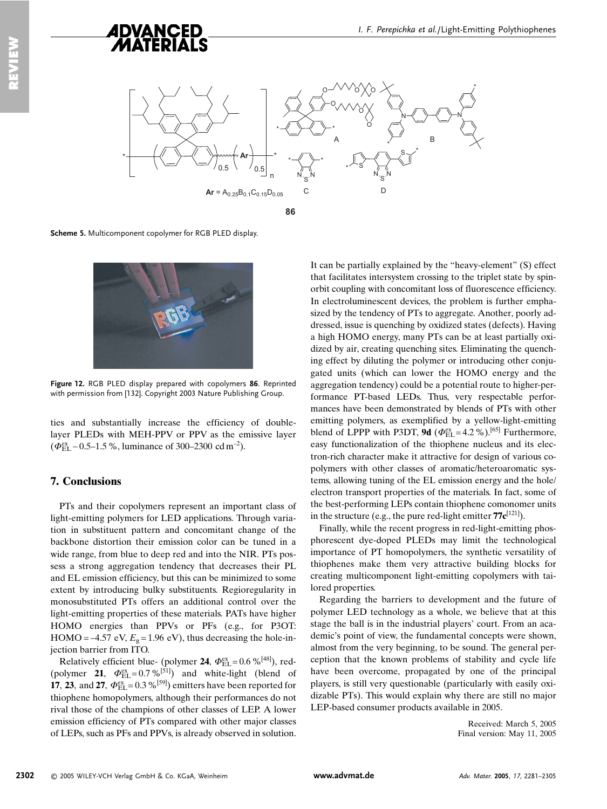

Scheme 5. Multicomponent copolymer for RGB PLED display.



Figure 12. RGB PLED display prepared with copolymers 86. Reprinted with permission from [132]. Copyright 2003 Nature Publishing Group.

ties and substantially increase the efficiency of doublelayer PLEDs with MEH-PPV or PPV as the emissive layer ( $\Phi_{\text{EL}}^{\text{ex}}$  ~ 0.5–1.5 %, luminance of 300–2300 cd m<sup>-2</sup>).

### **7. Conclusions**

PTs and their copolymers represent an important class of light-emitting polymers for LED applications. Through variation in substituent pattern and concomitant change of the backbone distortion their emission color can be tuned in a wide range, from blue to deep red and into the NIR. PTs possess a strong aggregation tendency that decreases their PL and EL emission efficiency, but this can be minimized to some extent by introducing bulky substituents. Regioregularity in monosubstituted PTs offers an additional control over the light-emitting properties of these materials. PATs have higher HOMO energies than PPVs or PFs (e.g., for P3OT: HOMO = -4.57 eV,  $E<sub>9</sub>$  = 1.96 eV), thus decreasing the hole-injection barrier from ITO.

Relatively efficient blue- (polymer 24,  $\Phi_{\text{EL}}^{\text{ex}}$  = 0.6 %<sup>[48]</sup>), red-(polymer 21,  $\Phi_{\text{FI}}^{\text{ex}} = 0.7 \%^{51}$ ) and white-light (blend of 17, 23, and 27,  $\Phi_{\rm EL}^{\rm ex} = 0.3 \%^{[59]}$  emitters have been reported for thiophene homopolymers, although their performances do not rival those of the champions of other classes of LEP. A lower emission efficiency of PTs compared with other major classes of LEPs, such as PFs and PPVs, is already observed in solution. It can be partially explained by the "heavy-element" (S) effect that facilitates intersystem crossing to the triplet state by spinorbit coupling with concomitant loss of fluorescence efficiency. In electroluminescent devices, the problem is further emphasized by the tendency of PTs to aggregate. Another, poorly addressed, issue is quenching by oxidized states (defects). Having a high HOMO energy, many PTs can be at least partially oxidized by air, creating quenching sites. Eliminating the quenching effect by diluting the polymer or introducing other conjugated units (which can lower the HOMO energy and the aggregation tendency) could be a potential route to higher-performance PT-based LEDs. Thus, very respectable performances have been demonstrated by blends of PTs with other emitting polymers, as exemplified by a yellow-light-emitting blend of LPPP with P3DT, 9d ( $\Phi_{FL}^{ex}$  = 4.2 %).<sup>[65]</sup> Furthermore, easy functionalization of the thiophene nucleus and its electron-rich character make it attractive for design of various copolymers with other classes of aromatic/heteroaromatic systems, allowing tuning of the EL emission energy and the hole/ electron transport properties of the materials. In fact, some of the best-performing LEPs contain thiophene comonomer units in the structure (e.g., the pure red-light emitter  $77c^{[121]}$ ).

Finally, while the recent progress in red-light-emitting phosphorescent dye-doped PLEDs may limit the technological importance of PT homopolymers, the synthetic versatility of thiophenes make them very attractive building blocks for creating multicomponent light-emitting copolymers with tailored properties.

Regarding the barriers to development and the future of polymer LED technology as a whole, we believe that at this stage the ball is in the industrial players' court. From an academic's point of view, the fundamental concepts were shown, almost from the very beginning, to be sound. The general perception that the known problems of stability and cycle life have been overcome, propagated by one of the principal players, is still very questionable (particularly with easily oxidizable PTs). This would explain why there are still no major LEP-based consumer products available in 2005.

> Received: March 5, 2005 Final version: May 11, 2005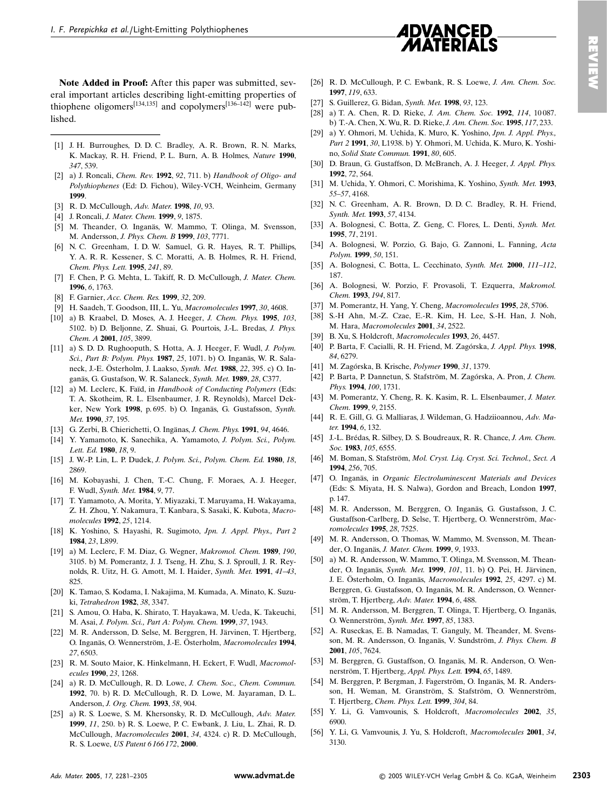

EVIEW

Note Added in Proof: After this paper was submitted, several important articles describing light-emitting properties of thiophene oligomers<sup>[134,135]</sup> and copolymers<sup>[136–142]</sup> were published.

- [1] J. H. Burroughes, D. D. C. Bradley, A. R. Brown, R. N. Marks, K. Mackay, R. H. Friend, P. L. Burn, A. B. Holmes, Nature 1990,  $347,539$
- [2] a) J. Roncali, Chem. Rev. 1992, 92, 711. b) Handbook of Oligo- and Polythiophenes (Ed: D. Fichou), Wiley-VCH, Weinheim, Germany 1999.
- [3] R. D. McCullough, Adv. Mater. 1998, 10, 93.
- [4] J. Roncali, J. Mater. Chem. 1999, 9, 1875.
- [5] M. Theander, O. Inganäs, W. Mammo, T. Olinga, M. Svensson, M. Andersson, J. Phys. Chem. B 1999, 103, 7771.
- [6] N. C. Greenham, I. D. W. Samuel, G. R. Hayes, R. T. Phillips, Y. A. R. R. Kessener, S. C. Moratti, A. B. Holmes, R. H. Friend, Chem. Phys. Lett. 1995, 241, 89.
- [7] F. Chen, P. G. Mehta, L. Takiff, R. D. McCullough, J. Mater. Chem. 1996, 6, 1763.
- [8] F. Garnier, Acc. Chem. Res. 1999, 32, 209.
- [9] H. Saadeh, T. Goodson, III, L. Yu, Macromolecules 1997, 30, 4608.
- [10] a) B. Kraabel, D. Moses, A. J. Heeger, J. Chem. Phys. 1995, 103, 5102. b) D. Beljonne, Z. Shuai, G. Pourtois, J.-L. Bredas, J. Phys. Chem. A 2001, 105, 3899.
- [11] a) S. D. D. Rughooputh, S. Hotta, A. J. Heeger, F. Wudl, J. Polym. Sci., Part B: Polym. Phys. 1987, 25, 1071. b) O. Inganäs, W. R. Salaneck, J.-E. Österholm, J. Laakso, Synth. Met. 1988, 22, 395. c) O. Inganäs, G. Gustafson, W. R. Salaneck, Synth. Met. 1989, 28, C377.
- [12] a) M. Leclerc, K. Faïd, in Handbook of Conducting Polymers (Eds: T. A. Skotheim, R. L. Elsenbaumer, J. R. Reynolds), Marcel Dekker, New York 1998, p. 695. b) O. Inganäs, G. Gustafsson, Synth. Met. 1990, 37, 195.
- [13] G. Zerbi, B. Chierichetti, O. Ingänas, J. Chem. Phys. 1991, 94, 4646.
- [14] Y. Yamamoto, K. Sanechika, A. Yamamoto, J. Polym. Sci., Polym. Lett. Ed. 1980, 18, 9.
- [15] J. W.-P. Lin, L. P. Dudek, J. Polym. Sci., Polym. Chem. Ed. 1980, 18, 2869
- [16] M. Kobayashi, J. Chen, T.-C. Chung, F. Moraes, A. J. Heeger, F. Wudl, Synth. Met. 1984, 9, 77.
- [17] T. Yamamoto, A. Morita, Y. Miyazaki, T. Maruyama, H. Wakayama, Z. H. Zhou, Y. Nakamura, T. Kanbara, S. Sasaki, K. Kubota, Macromolecules 1992, 25, 1214.
- [18] K. Yoshino, S. Hayashi, R. Sugimoto, Jpn. J. Appl. Phys., Part 2 1984, 23, L899.
- [19] a) M. Leclerc, F. M. Diaz, G. Wegner, Makromol. Chem. 1989, 190, 3105. b) M. Pomerantz, J. J. Tseng, H. Zhu, S. J. Sproull, J. R. Reynolds, R. Uitz, H. G. Amott, M. I. Haider, Synth. Met. 1991, 41-43, 825
- [20] K. Tamao, S. Kodama, I. Nakajima, M. Kumada, A. Minato, K. Suzuki. Tetrahedron 1982, 38, 3347.
- [21] S. Amou, O. Haba, K. Shirato, T. Hayakawa, M. Ueda, K. Takeuchi, M. Asai, J. Polym. Sci., Part A: Polym. Chem. 1999, 37, 1943.
- [22] M. R. Andersson, D. Selse, M. Berggren, H. Järvinen, T. Hjertberg, O. Inganäs, O. Wennerström, J.-E. Österholm, Macromolecules 1994, 27, 6503.
- [23] R. M. Souto Maior, K. Hinkelmann, H. Eckert, F. Wudl, Macromolecules 1990, 23, 1268.
- [24] a) R. D. McCullough, R. D. Lowe, J. Chem. Soc., Chem. Commun. 1992, 70, b) R. D. McCullough, R. D. Lowe, M. Javaraman, D. L. Anderson, J. Org. Chem. 1993, 58, 904.
- [25] a) R. S. Loewe, S. M. Khersonsky, R. D. McCullough, Adv. Mater. 1999, 11, 250. b) R. S. Loewe, P. C. Ewbank, J. Liu, L. Zhai, R. D. McCullough, Macromolecules 2001, 34, 4324. c) R. D. McCullough, R. S. Loewe, US Patent 6166172, 2000.
- [26] R. D. McCullough, P. C. Ewbank, R. S. Loewe, J. Am. Chem. Soc. 1997. 119, 633.
- [27] S. Guillerez, G. Bidan, Synth. Met. 1998, 93, 123.
- [28] a) T. A. Chen, R. D. Rieke, J. Am. Chem. Soc. 1992, 114, 10087. b) T.-A. Chen, X. Wu, R. D. Rieke, J. Am. Chem. Soc. 1995, 117, 233.
- [29] a) Y. Ohmori, M. Uchida, K. Muro, K. Yoshino, Jpn. J. Appl. Phys., Part 2 1991, 30, L1938. b) Y. Ohmori, M. Uchida, K. Muro, K. Yoshino, Solid State Commun. 1991, 80, 605.
- [30] D. Braun, G. Gustaffson, D. McBranch, A. J. Heeger, J. Appl. Phys. 1992. 72. 564.
- [31] M. Uchida, Y. Ohmori, C. Morishima, K. Yoshino, Synth. Met. 1993, 55-57 4168
- [32] N. C. Greenham, A. R. Brown, D. D. C. Bradley, R. H. Friend, Synth. Met. 1993, 57, 4134.
- [33] A. Bolognesi, C. Botta, Z. Geng, C. Flores, L. Denti, Synth. Met. 1995, 71, 2191.
- [34] A. Bolognesi, W. Porzio, G. Bajo, G. Zannoni, L. Fanning, Acta Polym 1999 50 151
- [35] A. Bolognesi, C. Botta, L. Cecchinato, Synth. Met. 2000, 111-112, 187.
- [36] A. Bolognesi, W. Porzio, F. Provasoli, T. Ezquerra, Makromol. Chem 1993 194 817
- [37] M. Pomerantz, H. Yang, Y. Cheng, Macromolecules 1995, 28, 5706.
- [38] S.-H Ahn, M.-Z. Czae, E.-R. Kim, H. Lee, S.-H. Han, J. Noh, M. Hara, Macromolecules 2001, 34, 2522.
- [39] B. Xu, S. Holdcroft, Macromolecules 1993, 26, 4457.
- [40] P. Barta, F. Cacialli, R. H. Friend, M. Zagórska, J. Appl. Phys. 1998, 84.6279.
- [41] M. Zagórska, B. Krische, Polymer 1990, 31, 1379.
- [42] P. Barta, P. Dannetun, S. Stafström, M. Zagórska, A. Pron, J. Chem. Phys. 1994, 100, 1731.
- [43] M. Pomerantz, Y. Cheng, R. K. Kasim, R. L. Elsenbaumer, J. Mater. Chem. 1999, 9, 2155.
- [44] R. E. Gill, G. G. Malliaras, J. Wildeman, G. Hadziioannou, Adv. Mater. 1994, 6, 132.
- [45] J.-L. Brédas, R. Silbey, D. S. Boudreaux, R. R. Chance, J. Am. Chem. Soc. 1983, 105, 6555.
- [46] M. Boman, S. Stafström, Mol. Cryst. Liq. Cryst. Sci. Technol., Sect. A 1994 256 705
- [47] O. Inganäs, in Organic Electroluminescent Materials and Devices (Eds: S. Miyata, H. S. Nalwa), Gordon and Breach, London 1997, p. 147.
- [48] M. R. Andersson, M. Berggren, O. Inganäs, G. Gustafsson, J. C. Gustaffson-Carlberg, D. Selse, T. Hjertberg, O. Wennerström, Macromolecules 1995, 28, 7525.
- [49] M. R. Andersson, O. Thomas, W. Mammo, M. Svensson, M. Theander, O. Inganäs, J. Mater. Chem. 1999, 9, 1933.
- $[50]$ a) M. R. Andersson, W. Mammo, T. Olinga, M. Svensson, M. Theander, O. Inganäs, Synth. Met. 1999, 101, 11. b) Q. Pei, H. Järvinen, J. E. Österholm, O. Inganäs, Macromolecules 1992, 25, 4297. c) M. Berggren, G. Gustafsson, O. Inganäs, M. R. Andersson, O. Wennerström, T. Hjertberg, Adv. Mater. 1994, 6, 488.
- [51] M. R. Andersson, M. Berggren, T. Olinga, T. Hiertberg, O. Inganäs, O. Wennerström, Synth. Met. 1997, 85, 1383.
- [52] A. Ruseckas, E. B. Namadas, T. Ganguly, M. Theander, M. Svensson, M. R. Andersson, O. Inganäs, V. Sundström, J. Phys. Chem. B 2001 105 7624
- [53] M. Berggren, G. Gustaffson, O. Inganäs, M. R. Anderson, O. Wennerström, T. Hjertberg, Appl. Phys. Lett. 1994, 65, 1489.
- [54] M. Berggren, P. Bergman, J. Fagerström, O. Inganäs, M. R. Andersson, H. Weman, M. Granström, S. Stafström, O. Wennerström, T. Hjertberg, Chem. Phys. Lett. 1999, 304, 84.
- [55] Y. Li, G. Vamvounis, S. Holdcroft, Macromolecules 2002, 35, 6900
- Y. Li, G. Vamvounis, J. Yu, S. Holdcroft, Macromolecules 2001, 34,  $\left[56\right]$ 3130.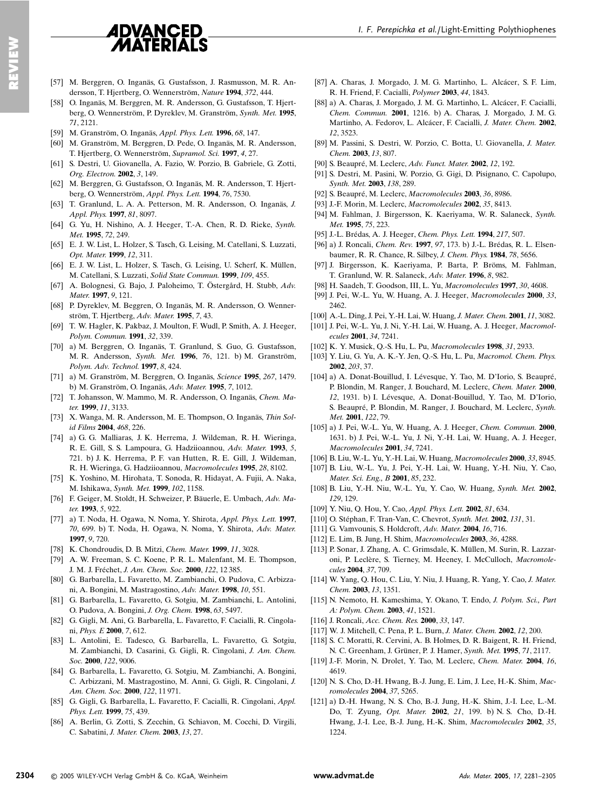## **ADVANCED MATERIALS**

- [57] M. Berggren, O. Inganäs, G. Gustafsson, J. Rasmusson, M. R. Andersson, T. Hjertberg, O. Wennerström, Nature 1994, 372, 444.
- [58] O. Inganäs, M. Berggren, M. R. Andersson, G. Gustafsson, T. Hjertberg, O. Wennerström, P. Dyreklev, M. Granström, Synth. Met. 1995,  $71.2121$
- [59] M. Granström, O. Inganäs, Appl. Phys. Lett. 1996, 68, 147.
- [60] M. Granström, M. Berggren, D. Pede, O. Inganäs, M. R. Andersson, T. Hjertberg, O. Wennerström, Supramol. Sci. 1997, 4, 27.
- [61] S. Destri, U. Giovanella, A. Fazio, W. Porzio, B. Gabriele, G. Zotti, Org. Electron. 2002, 3, 149.
- [62] M. Berggren, G. Gustafsson, O. Inganäs, M. R. Andersson, T. Hjertberg, O. Wennerström, Appl. Phys. Lett. 1994, 76, 7530.
- [63] T. Granlund, L. A. A. Petterson, M. R. Andersson, O. Inganäs, J. Appl. Phys. **1997**, 81, 8097.
- [64] G. Yu, H. Nishino, A. J. Heeger, T.-A. Chen, R. D. Rieke, Synth. Met. **1995**, 72, 249.
- [65] E. J. W. List, L. Holzer, S. Tasch, G. Leising, M. Catellani, S. Luzzati, Opt. Mater. 1999, 12, 311.
- [66] E. J. W. List, L. Holzer, S. Tasch, G. Leising, U. Scherf, K. Müllen, M. Catellani, S. Luzzati, Solid State Commun. 1999, 109, 455.
- [67] A. Bolognesi, G. Bajo, J. Paloheimo, T. Östergård, H. Stubb, Adv. *Mater* 1997  $9$  121.
- [68] P. Dyreklev, M. Beggren, O. Inganäs, M. R. Andersson, O. Wennerström. T. Hiertberg. Adv. Mater. 1995. 7. 43.
- [69] T. W. Hagler, K. Pakbaz, J. Moulton, F. Wudl, P. Smith, A. J. Heeger, Polym. Commun. **1991**, 32, 339.
- [70] a) M. Berggren, O. Inganäs, T. Granlund, S. Guo, G. Gustafsson, M. R. Andersson, Synth. Met. 1996, 76, 121. b) M. Granström, Polym. Adv. Technol. 1997, 8, 424.
- [71] a) M. Granström, M. Berggren, O. Inganäs, *Science* **1995**, 267, 1479. b) M. Granström, O. Inganäs, Adv. Mater. 1995, 7, 1012.
- [72] T. Johansson, W. Mammo, M. R. Andersson, O. Inganäs, Chem. Mater. 1999, 11, 3133.
- [73] X. Wanga, M. R. Andersson, M. E. Thompson, O. Inganäs, Thin Sol*id Films* **2004**, 468, 226.
- [74] a) G. G. Malliaras, J. K. Herrema, J. Wildeman, R. H. Wieringa, R. E. Gill. S. S. Lampoura, G. Hadziioannou, Adv. Mater. 1993, 5. 721. b) J. K. Herrema, P. F. van Hutten, R. E. Gill, J. Wildeman, R. H. Wieringa, G. Hadziioannou, Macromolecules 1995, 28, 8102.
- [75] K. Yoshino, M. Hirohata, T. Sonoda, R. Hidayat, A. Fujii, A. Naka, M. Ishikawa, Synth. Met. 1999, 102, 1158.
- [76] F. Geiger, M. Stoldt, H. Schweizer, P. Bäuerle, E. Umbach, Adv. Mater. **1993**, 5, 922.
- [77] a) T. Noda, H. Ogawa, N. Noma, Y. Shirota, Appl. Phys. Lett. 1997, 70, 699. b) T. Noda, H. Ogawa, N. Noma, Y. Shirota, Adv. Mater. 1997 9 720
- [78] K. Chondroudis, D. B. Mitzi, Chem. Mater. 1999, 11, 3028.
- [79] A. W. Freeman, S. C. Koene, P. R. L. Malenfant, M. E. Thompson, J. M. J. Fréchet, *J. Am. Chem. Soc.* 2000, 122, 12385.
- [80] G. Barbarella, L. Favaretto, M. Zambianchi, O. Pudova, C. Arbizzani, A. Bongini, M. Mastragostino, Adv. Mater. 1998, 10, 551.
- [81] G. Barbarella, L. Favaretto, G. Sotgiu, M. Zambianchi, L. Antolini, O. Pudova, A. Bongini, J. Org. Chem. 1998, 63, 5497.
- [82] G. Gigli, M. Ani, G. Barbarella, L. Favaretto, F. Cacialli, R. Cingolani, *Phys. E* 2000, 7, 612.
- [83] L. Antolini, E. Tadesco, G. Barbarella, L. Favaretto, G. Sotgiu, M. Zambianchi, D. Casarini, G. Gigli, R. Cingolani, J. Am. Chem. *Soc.* **2000**, 122, 9006.
- [84] G. Barbarella, L. Favaretto, G. Sotgiu, M. Zambianchi, A. Bongini, C. Arbizzani, M. Mastragostino, M. Anni, G. Gigli, R. Cingolani, J. Am. Chem. Soc. **2000**, 122, 11 971.
- [85] G. Gigli, G. Barbarella, L. Favaretto, F. Cacialli, R. Cingolani, Appl. Phys. Lett. **1999**, 75, 439.
- [86] A. Berlin, G. Zotti, S. Zecchin, G. Schiavon, M. Cocchi, D. Virgili, C. Sabatini, J. Mater. Chem. 2003, 13, 27.
- [87] A. Charas, J. Morgado, J. M. G. Martinho, L. Alcácer, S. F. Lim, R. H. Friend, F. Cacialli, Polymer 2003, 44, 1843.
- [88] a) A. Charas, J. Morgado, J. M. G. Martinho, L. Alcácer, F. Cacialli, Chem. Commun. 2001, 1216. b) A. Charas, J. Morgado, J. M. G. Martinho, A. Fedorov, L. Alcácer, F. Cacialli, J. Mater. Chem. 2002, 12, 3523.
- [89] M. Passini, S. Destri, W. Porzio, C. Botta, U. Giovanella, J. Mater.  $Chem$  2003 13 807
- [90] S. Beaupré, M. Leclerc, Adv. Funct. Mater. 2002, 12, 192.
- [91] S. Destri, M. Pasini, W. Porzio, G. Gigi, D. Pisignano, C. Capolupo, Synth. Met. **2003**, 138, 289.
- [92] S. Beaupré, M. Leclerc, Macromolecules 2003, 36, 8986.
- [93] J.-F. Morin, M. Leclerc, Macromolecules 2002, 35, 8413.
- [94] M. Fahlman, J. Birgersson, K. Kaeriyama, W. R. Salaneck, Synth. Met 1995 75 223.
- [95] J.-L. Brédas, A. J. Heeger, Chem. Phys. Lett. 1994, 217, 507.
- [96] a) J. Roncali, *Chem. Rev.* 1997, 97, 173. b) J.-L. Brédas, R. L. Elsenbaumer, R. R. Chance, R. Silbey, J. Chem. Phys. 1984, 78, 5656.
- [97] J. Birgersson, K. Kaeriyama, P. Barta, P. Bröms, M. Fahlman, T. Granlund, W. R. Salaneck, Adv. Mater. 1996, 8, 982.
- [98] H. Saadeh, T. Goodson, III, L. Yu, Macromolecules 1997, 30, 4608.
- [99] J. Pei, W.-L. Yu, W. Huang, A. J. Heeger, Macromolecules 2000, 33, 2462
- [100] A.-L. Ding. J. Pei, Y.-H. Lai, W. Huang. J. Mater. Chem. 2001, 11, 3082.
- [101] J. Pei, W.-L. Yu, J. Ni, Y.-H. Lai, W. Huang, A. J. Heeger, Macromolecules 2001, 34, 7241.
- [102] K. Y. Musick, Q.-S. Hu, L. Pu, Macromolecules 1998, 31, 2933.
- [103] Y. Liu, G. Yu, A. K.-Y. Jen, Q.-S. Hu, L. Pu, Macromol. Chem. Phys. 2002 203 37
- [104] a) A. Donat-Bouillud, I. Lévesque, Y. Tao, M. D'Iorio, S. Beaupré, P. Blondin, M. Ranger, J. Bouchard, M. Leclerc, Chem. Mater. 2000, 12, 1931. b) I. Lévesque, A. Donat-Bouillud, Y. Tao, M. D'Iorio, S. Beaupré, P. Blondin, M. Ranger, J. Bouchard, M. Leclerc, Synth. Met. 2001, 122, 79.
- [105] a) J. Pei, W.-L. Yu, W. Huang, A. J. Heeger, Chem. Commun. 2000, 1631. b) J. Pei, W.-L. Yu, J. Ni, Y.-H. Lai, W. Huang, A. J. Heeger, Macromolecules 2001, 34, 7241.
- [106] B. Liu, W.-L. Yu, Y.-H. Lai, W. Huang, Macromolecules 2000, 33, 8945.
- [107] B. Liu, W.-L. Yu, J. Pei, Y.-H. Lai, W. Huang, Y.-H. Niu, Y. Cao, Mater. Sci. Eng., B 2001, 85, 232.
- [108] B. Liu, Y.-H. Niu, W.-L. Yu, Y. Cao, W. Huang, Synth. Met. 2002, 129, 129.
- [109] Y. Niu, Q. Hou, Y. Cao, Appl. Phys. Lett. 2002, 81, 634.
- [110] O. Stéphan, F. Tran-Van, C. Chevrot, Synth. Met. 2002, 131, 31.
- [111] G. Vamvounis, S. Holdcroft, Adv. Mater. 2004, 16, 716.
- [112] E. Lim, B. Jung, H. Shim, Macromolecules 2003, 36, 4288.
- [113] P. Sonar, J. Zhang, A. C. Grimsdale, K. Müllen, M. Surin, R. Lazzaroni, P. Leclère, S. Tierney, M. Heeney, I. McCulloch, Macromolecules **2004**, 37, 709.
- [114] W. Yang, Q. Hou, C. Liu, Y. Niu, J. Huang, R. Yang, Y. Cao, J. Mater. Chem. 2003, 13, 1351.
- [115] N. Nemoto, H. Kameshima, Y. Okano, T. Endo, J. Polym. Sci., Part A: Polym. Chem. 2003, 41, 1521.
- [116] J. Roncali, Acc. Chem. Res. 2000, 33, 147.
- [117] W. J. Mitchell, C. Pena, P. L. Burn, J. Mater. Chem. 2002, 12, 200.
- [118] S. C. Moratti, R. Cervini, A. B. Holmes, D. R. Baigent, R. H. Friend, N. C. Greenham, J. Grüner, P. J. Hamer, Synth. Met. 1995, 71, 2117.
- [119] J.-F. Morin, N. Drolet, Y. Tao, M. Leclerc, Chem. Mater. 2004, 16, 4619.
- [120] N. S. Cho, D.-H. Hwang, B.-J. Jung, E. Lim, J. Lee, H.-K. Shim, Macromolecules 2004, 37, 5265.
- $[121]$  a) D.-H. Hwang, N. S. Cho, B.-J. Jung, H.-K. Shim, J.-I. Lee, L.-M. Do, T. Zyung, *Opt. Mater.* **2002**, 21, 199. b) N. S. Cho, D.-H. Hwang, J.-I. Lee, B.-J. Jung, H.-K. Shim, Macromolecules 2002, 35, 1224.